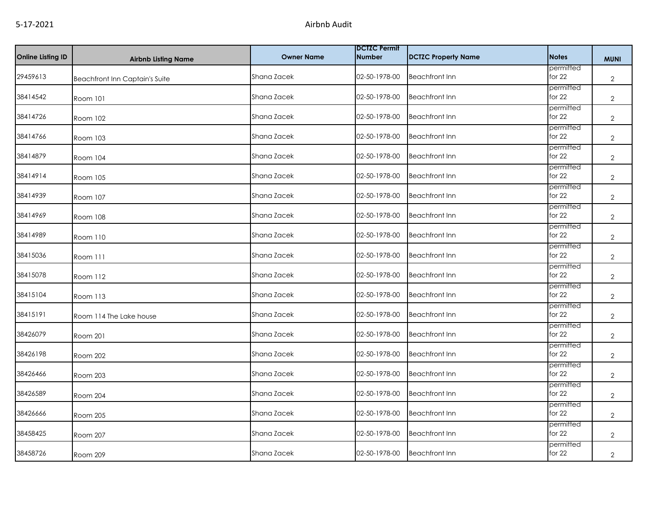| <b>Online Listing ID</b> | <b>Airbnb Listing Name</b>            | <b>Owner Name</b> | <b>DCTZC Permit</b><br><b>Number</b> | <b>DCTZC Property Name</b> | <b>Notes</b>          | <b>MUNI</b>    |
|--------------------------|---------------------------------------|-------------------|--------------------------------------|----------------------------|-----------------------|----------------|
| 29459613                 | <b>Beachfront Inn Captain's Suite</b> | Shana Zacek       | 02-50-1978-00                        | <b>Beachfront Inn</b>      | permitted<br>for $22$ | $\overline{2}$ |
| 38414542                 | Room 101                              | Shana Zacek       | 02-50-1978-00                        | <b>Beachfront Inn</b>      | permitted<br>for $22$ | $\overline{2}$ |
| 38414726                 | Room 102                              | Shana Zacek       | 02-50-1978-00                        | <b>Beachfront Inn</b>      | permitted<br>for $22$ | $\overline{2}$ |
| 38414766                 | Room 103                              | Shana Zacek       | 02-50-1978-00                        | <b>Beachfront Inn</b>      | permitted<br>for $22$ | $\overline{2}$ |
| 38414879                 | Room 104                              | Shana Zacek       | 02-50-1978-00                        | <b>Beachfront Inn</b>      | permitted<br>for $22$ | $\overline{2}$ |
| 38414914                 | Room 105                              | Shana Zacek       | 02-50-1978-00                        | <b>Beachfront Inn</b>      | permitted<br>for $22$ | $\overline{2}$ |
| 38414939                 | Room 107                              | Shana Zacek       | 02-50-1978-00                        | <b>Beachfront Inn</b>      | permitted<br>for $22$ | $\mathbf{2}$   |
| 38414969                 | Room 108                              | Shana Zacek       | 02-50-1978-00                        | <b>Beachfront Inn</b>      | permitted<br>for $22$ | $\overline{2}$ |
| 38414989                 | <b>Room 110</b>                       | Shana Zacek       | 02-50-1978-00                        | <b>Beachfront Inn</b>      | permitted<br>for $22$ | $\overline{2}$ |
| 38415036                 | Room 111                              | Shana Zacek       | 02-50-1978-00                        | <b>Beachfront Inn</b>      | permitted<br>for $22$ | $\overline{2}$ |
| 38415078                 | Room 112                              | Shana Zacek       | 02-50-1978-00                        | <b>Beachfront Inn</b>      | permitted<br>for $22$ | $\overline{2}$ |
| 38415104                 | Room 113                              | Shana Zacek       | 02-50-1978-00                        | <b>Beachfront Inn</b>      | permitted<br>for $22$ | $\overline{2}$ |
| 38415191                 | Room 114 The Lake house               | Shana Zacek       | 02-50-1978-00                        | <b>Beachfront Inn</b>      | permitted<br>for $22$ | $\overline{2}$ |
| 38426079                 | <b>Room 201</b>                       | Shana Zacek       | 02-50-1978-00                        | <b>Beachfront Inn</b>      | permitted<br>for $22$ | $\overline{2}$ |
| 38426198                 | Room 202                              | Shana Zacek       | 02-50-1978-00                        | <b>Beachfront Inn</b>      | permitted<br>for $22$ | $\overline{2}$ |
| 38426466                 | Room 203                              | Shana Zacek       | 02-50-1978-00                        | <b>Beachfront Inn</b>      | permitted<br>for $22$ | $\overline{2}$ |
| 38426589                 | Room 204                              | Shana Zacek       | 02-50-1978-00                        | <b>Beachfront Inn</b>      | permitted<br>for $22$ | $\mathbf{2}$   |
| 38426666                 | Room 205                              | Shana Zacek       | 02-50-1978-00                        | <b>Beachfront Inn</b>      | permitted<br>for $22$ | $\overline{2}$ |
| 38458425                 | Room 207                              | Shana Zacek       | 02-50-1978-00                        | <b>Beachfront Inn</b>      | permitted<br>for $22$ | $\overline{2}$ |
| 38458726                 | Room 209                              | Shana Zacek       | 02-50-1978-00                        | <b>Beachfront Inn</b>      | permitted<br>for $22$ | $\overline{2}$ |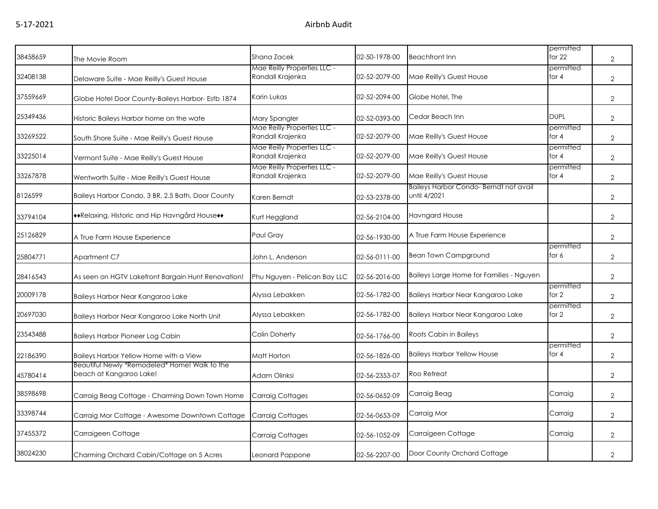| 38458659 | The Movie Room                                                           | Shana Zacek                                     | 02-50-1978-00 | <b>Beachfront Inn</b>                                 | permitted<br>for $22$ | $\overline{2}$ |
|----------|--------------------------------------------------------------------------|-------------------------------------------------|---------------|-------------------------------------------------------|-----------------------|----------------|
| 32408138 | Delaware Suite - Mae Reilly's Guest House                                | Mae Reilly Properties LLC -<br>Randall Krajenka | 02-52-2079-00 | Mae Reilly's Guest House                              | permitted<br>for $4$  | $\overline{2}$ |
| 37559669 | Globe Hotel Door County-Baileys Harbor- Estb 1874                        | Karin Lukas                                     | 02-52-2094-00 | Globe Hotel, The                                      |                       | $\overline{2}$ |
| 25349436 | Historic Baileys Harbor home on the wate                                 | Mary Spangler                                   | 02-52-0393-00 | Cedar Beach Inn                                       | <b>DUPL</b>           | $\overline{2}$ |
| 33269522 | South Shore Suite - Mae Reilly's Guest House                             | Mae Reilly Properties LLC -<br>Randall Krajenka | 02-52-2079-00 | Mae Reilly's Guest House                              | permitted<br>for $4$  | $\overline{2}$ |
| 33225014 | Vermont Suite - Mae Reilly's Guest House                                 | Mae Reilly Properties LLC -<br>Randall Krajenka | 02-52-2079-00 | Mae Reilly's Guest House                              | permitted<br>for $4$  | $\overline{2}$ |
| 33267878 | Wentworth Suite - Mae Reilly's Guest House                               | Mae Reilly Properties LLC -<br>Randall Krajenka | 02-52-2079-00 | Mae Reilly's Guest House                              | permitted<br>for $4$  | $\overline{2}$ |
| 8126599  | Baileys Harbor Condo, 3 BR, 2.5 Bath, Door County                        | Karen Berndt                                    | 02-53-2378-00 | Baileys Harbor Condo-Berndt not avail<br>until 4/2021 |                       | $\overline{2}$ |
| 33794104 | **Relaxing, Historic and Hip Havngård House**                            | Kurt Heggland                                   | 02-56-2104-00 | Havngard House                                        |                       | $\overline{2}$ |
| 25126829 | A True Farm House Experience                                             | Paul Gray                                       | 02-56-1930-00 | A True Farm House Experience                          |                       | $\overline{2}$ |
| 25804771 | Apartment C7                                                             | John L. Anderson                                | 02-56-0111-00 | <b>Bean Town Campground</b>                           | permitted<br>for 6    | $\overline{2}$ |
| 28416543 | As seen on HGTV Lakefront Bargain Hunt Renovation!                       | Phu Nguyen - Pelican Bay LLC                    | 02-56-2016-00 | Baileys Large Home for Families - Nguyen              |                       | $\overline{2}$ |
| 20009178 | Baileys Harbor Near Kangaroo Lake                                        | Alyssa Lebakken                                 | 02-56-1782-00 | Baileys Harbor Near Kangaroo Lake                     | permitted<br>for $2$  | $\overline{2}$ |
| 20697030 | Baileys Harbor Near Kangaroo Lake North Unit                             | Alyssa Lebakken                                 | 02-56-1782-00 | Baileys Harbor Near Kangaroo Lake                     | permitted<br>for 2    | $\overline{2}$ |
| 23543488 | <b>Baileys Harbor Pioneer Log Cabin</b>                                  | Colin Doherty                                   | 02-56-1766-00 | Roots Cabin in Baileys                                |                       | $\overline{2}$ |
| 22186390 | Baileys Harbor Yellow Home with a View                                   | Matt Horton                                     | 02-56-1826-00 | <b>Baileys Harbor Yellow House</b>                    | permitted<br>for $4$  | $\overline{2}$ |
| 45780414 | Beautiful Newly *Remodeled* Home! Walk to the<br>beach at Kangaroo Lake! | Adam Olinksi                                    | 02-56-2353-07 | Roo Retreat                                           |                       | $\overline{2}$ |
| 38598698 | Carraig Beag Cottage - Charming Down Town Home                           | Carraig Cottages                                | 02-56-0652-09 | Carraig Beag                                          | Carraig               | $\overline{2}$ |
| 33398744 | Carraig Mor Cottage - Awesome Downtown Cottage                           | Carraig Cottages                                | 02-56-0653-09 | Carraig Mor                                           | Carraig               | $\overline{2}$ |
| 37455372 | Carraigeen Cottage                                                       | <b>Carraig Cottages</b>                         | 02-56-1052-09 | Carraigeen Cottage                                    | Carraig               | $\overline{2}$ |
| 38024230 | Charming Orchard Cabin/Cottage on 5 Acres                                | Leonard Pappone                                 | 02-56-2207-00 | Door County Orchard Cottage                           |                       | $\overline{2}$ |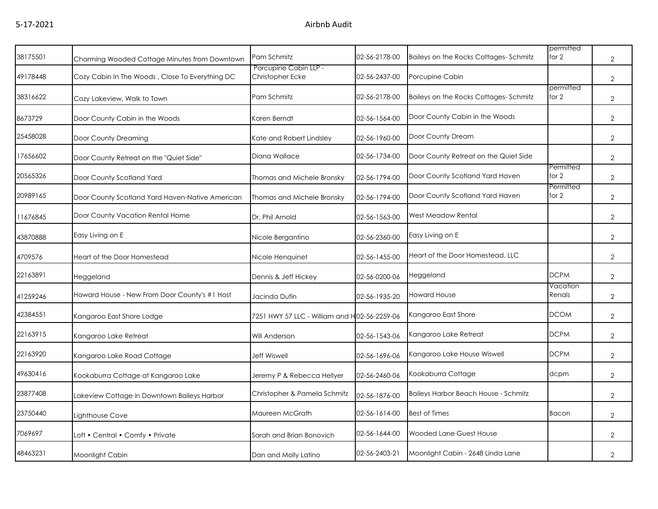| 38175501 | Charming Wooded Cottage Minutes from Downtown   | Pam Schmitz                                  | 02-56-2178-00 | Baileys on the Rocks Cottages-Schmitz       | permitted<br>for $2$ | $\overline{2}$ |
|----------|-------------------------------------------------|----------------------------------------------|---------------|---------------------------------------------|----------------------|----------------|
| 49178448 | Cozy Cabin In The Woods, Close To Everything DC | Porcupine Cabin LLP -<br>Christopher Ecke    | 02-56-2437-00 | Porcupine Cabin                             |                      | $\overline{2}$ |
| 38316622 | Cozy Lakeview, Walk to Town                     | Pam Schmitz                                  | 02-56-2178-00 | Baileys on the Rocks Cottages-Schmitz       | permitted<br>for $2$ | $\overline{2}$ |
| 8673729  | Door County Cabin in the Woods                  | Karen Berndt                                 | 02-56-1564-00 | Door County Cabin in the Woods              |                      | $\overline{2}$ |
| 25458028 | Door County Dreaming                            | Kate and Robert Lindsley                     | 02-56-1960-00 | Door County Dream                           |                      | $\overline{2}$ |
| 17656602 | Door County Retreat on the "Quiet Side"         | Diana Wallace                                | 02-56-1734-00 | Door County Retreat on the Quiet Side       |                      | $\overline{2}$ |
| 20565326 | Door County Scotland Yard                       | Thomas and Michele Bronsky                   | 02-56-1794-00 | Door County Scotland Yard Haven             | Permitted<br>for $2$ | $\overline{2}$ |
| 20989165 | Door County Scotland Yard Haven-Native American | Thomas and Michele Bronsky                   | 02-56-1794-00 | Door County Scotland Yard Haven             | Permitted<br>for 2   | $\overline{2}$ |
| 11676845 | Door County Vacation Rental Home                | Dr. Phil Arnold                              | 02-56-1563-00 | West Meadow Rental                          |                      | $\overline{2}$ |
| 43870888 | Easy Living on E                                | Nicole Bergantino                            | 02-56-2360-00 | Easy Living on E                            |                      | $\overline{2}$ |
| 4709576  | Heart of the Door Homestead                     | Nicole Henquinet                             | 02-56-1455-00 | Heart of the Door Homestead, LLC            |                      | $\overline{2}$ |
| 22163891 | Heggeland                                       | Dennis & Jeff Hickey                         | 02-56-0200-06 | Heggeland                                   | <b>DCPM</b>          | $\overline{2}$ |
| 41259246 | Howard House - New From Door County's #1 Host   | Jacinda Dufin                                | 02-56-1935-20 | <b>Howard House</b>                         | Vacation<br>Renals   | $\overline{2}$ |
| 42384551 | Kangaroo East Shore Lodge                       | 7251 HWY 57 LLC - William and H02-56-2259-06 |               | Kangaroo East Shore                         | <b>DCOM</b>          | $\overline{2}$ |
| 22163915 | Kangaroo Lake Retreat                           | Will Anderson                                | 02-56-1543-06 | Kangaroo Lake Retreat                       | <b>DCPM</b>          | $\overline{2}$ |
| 22163920 | Kangaroo Lake Road Cottage                      | <b>Jeff Wiswell</b>                          | 02-56-1696-06 | Kangaroo Lake House Wiswell                 | <b>DCPM</b>          | $\overline{2}$ |
| 49630416 | Kookaburra Cottage at Kangaroo Lake             | Jeremy P & Rebecca Hellyer                   | 02-56-2460-06 | Kookaburra Cottage                          | dcpm                 | $\overline{2}$ |
| 23877408 | Lakeview Cottage in Downtown Baileys Harbor     | Christopher & Pamela Schmitz                 | 02-56-1876-00 | <b>Baileys Harbor Beach House - Schmitz</b> |                      | $\overline{2}$ |
| 23750440 | Lighthouse Cove                                 | Maureen McGrath                              | 02-56-1614-00 | <b>Best of Times</b>                        | Bacon                | $\overline{2}$ |
| 7069697  | Loft • Central • Comfy • Private                | Sarah and Brian Bonovich                     | 02-56-1644-00 | <b>Wooded Lane Guest House</b>              |                      | $\overline{2}$ |
| 48463231 | Moonlight Cabin                                 | Dan and Molly Latino                         | 02-56-2403-21 | Moonlight Cabin - 2648 Linda Lane           |                      | $\overline{2}$ |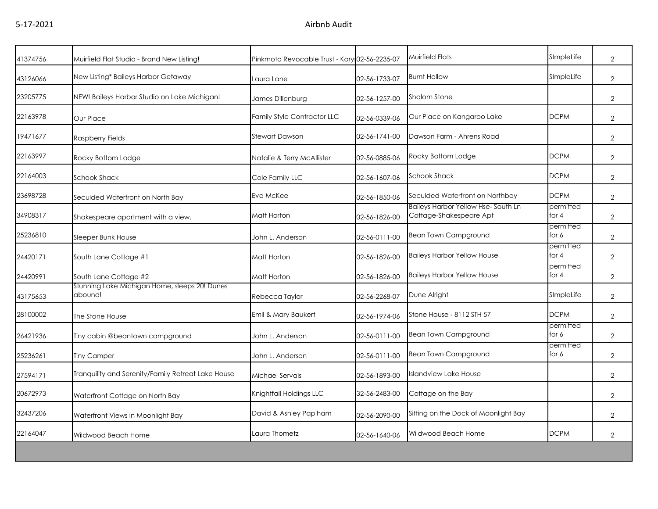| 41374756 | Muirfield Flat Studio - Brand New Listing!               | Pinkmoto Revocable Trust - Kary 02-56-2235-07 |               | Muirfield Flats                                               | SImpleLife           | $\overline{2}$ |
|----------|----------------------------------------------------------|-----------------------------------------------|---------------|---------------------------------------------------------------|----------------------|----------------|
| 43126066 | New Listing* Baileys Harbor Getaway                      | Laura Lane                                    | 02-56-1733-07 | <b>Burnt Hollow</b>                                           | SImpleLife           | $\overline{2}$ |
| 23205775 | NEW! Baileys Harbor Studio on Lake Michigan!             | James Dillenburg                              | 02-56-1257-00 | <b>Shalom Stone</b>                                           |                      | $\overline{2}$ |
| 22163978 | Our Place                                                | <b>Family Style Contractor LLC</b>            | 02-56-0339-06 | Our Place on Kangaroo Lake                                    | <b>DCPM</b>          | $\overline{2}$ |
| 19471677 | Raspberry Fields                                         | Stewart Dawson                                | 02-56-1741-00 | Dawson Farm - Ahrens Road                                     |                      | $\overline{2}$ |
| 22163997 | Rocky Bottom Lodge                                       | Natalie & Terry McAllister                    | 02-56-0885-06 | Rocky Bottom Lodge                                            | <b>DCPM</b>          | $\overline{2}$ |
| 22164003 | Schook Shack                                             | Cole Family LLC                               | 02-56-1607-06 | <b>Schook Shack</b>                                           | <b>DCPM</b>          | $\overline{2}$ |
| 23698728 | Seculded Waterfront on North Bay                         | Eva McKee                                     | 02-56-1850-06 | Seculded Waterfront on Northbay                               | <b>DCPM</b>          | $\overline{2}$ |
| 34908317 | Shakespeare apartment with a view.                       | Matt Horton                                   | 02-56-1826-00 | Baileys Harbor Yellow Hse-South Ln<br>Cottage-Shakespeare Apt | permitted<br>for $4$ | $\overline{2}$ |
| 25236810 | Sleeper Bunk House                                       | John L. Anderson                              | 02-56-0111-00 | <b>Bean Town Campground</b>                                   | permitted<br>for 6   | $\overline{2}$ |
| 24420171 | South Lane Cottage #1                                    | Matt Horton                                   | 02-56-1826-00 | <b>Baileys Harbor Yellow House</b>                            | permitted<br>for $4$ | $\overline{2}$ |
| 24420991 | South Lane Cottage #2                                    | Matt Horton                                   | 02-56-1826-00 | <b>Baileys Harbor Yellow House</b>                            | permitted<br>for $4$ | $\overline{2}$ |
| 43175653 | Stunning Lake Michigan Home, sleeps 20! Dunes<br>abound! | Rebecca Taylor                                | 02-56-2268-07 | Dune Alright                                                  | SImpleLife           | $\overline{2}$ |
| 28100002 | The Stone House                                          | Emil & Mary Baukert                           | 02-56-1974-06 | Stone House - 8112 STH 57                                     | <b>DCPM</b>          | $\overline{2}$ |
| 26421936 | Tiny cabin @beantown campground                          | John L. Anderson                              | 02-56-0111-00 | Bean Town Campground                                          | permitted<br>for 6   | $\overline{2}$ |
| 25236261 | <b>Tiny Camper</b>                                       | John L. Anderson                              | 02-56-0111-00 | <b>Bean Town Campground</b>                                   | permitted<br>for 6   | $\overline{2}$ |
| 27594171 | Tranquility and Serenity/Family Retreat Lake House       | Michael Servais                               | 02-56-1893-00 | <b>Islandview Lake House</b>                                  |                      | $\overline{2}$ |
| 20672973 | Waterfront Cottage on North Bay                          | Knightfall Holdings LLC                       | 32-56-2483-00 | Cottage on the Bay                                            |                      | $\overline{2}$ |
| 32437206 | Waterfront Views in Moonlight Bay                        | David & Ashley Paplham                        | 02-56-2090-00 | Sitting on the Dock of Moonlight Bay                          |                      | $\overline{2}$ |
| 22164047 | Wildwood Beach Home                                      | Laura Thometz                                 | 02-56-1640-06 | Wildwood Beach Home                                           | <b>DCPM</b>          | $\overline{2}$ |
|          |                                                          |                                               |               |                                                               |                      |                |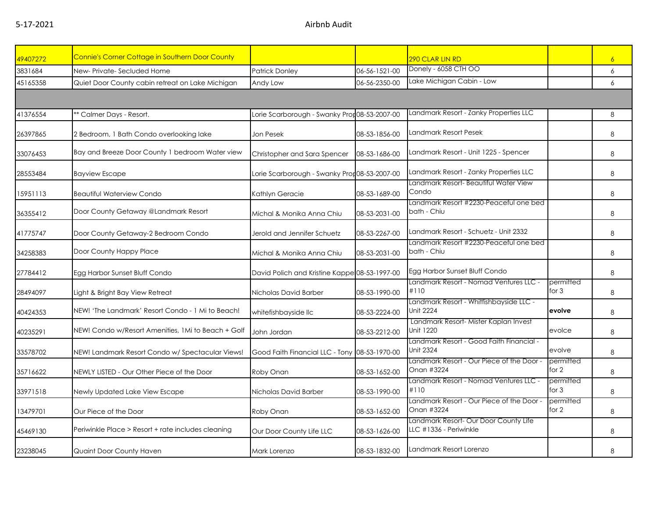| 49407272 | <b>Connie's Corner Cottage in Southern Door County</b> |                                               |               | 290 CLAR LIN RD                                                 |                      | $\overline{6}$ |
|----------|--------------------------------------------------------|-----------------------------------------------|---------------|-----------------------------------------------------------------|----------------------|----------------|
| 3831684  | New-Private-Secluded Home                              | <b>Patrick Donley</b>                         | 06-56-1521-00 | Donely - 6058 CTH OO                                            |                      | 6              |
| 45165358 | Quiet Door County cabin retreat on Lake Michigan       | Andy Low                                      | 06-56-2350-00 | Lake Michigan Cabin - Low                                       |                      | 6              |
|          |                                                        |                                               |               |                                                                 |                      |                |
| 41376554 | ** Calmer Days - Resort.                               | Lorie Scarborough - Swanky Pron08-53-2007-00  |               | Landmark Resort - Zanky Properties LLC                          |                      | 8              |
| 26397865 | 2 Bedroom, 1 Bath Condo overlooking lake               | Jon Pesek                                     | 08-53-1856-00 | Landmark Resort Pesek                                           |                      | 8              |
| 33076453 | Bay and Breeze Door County 1 bedroom Water view        | Christopher and Sara Spencer                  | 08-53-1686-00 | Landmark Resort - Unit 1225 - Spencer                           |                      | 8              |
| 28553484 | <b>Bayview Escape</b>                                  | Lorie Scarborough - Swanky Pror 08-53-2007-00 |               | Landmark Resort - Zanky Properties LLC                          |                      | 8              |
| 15951113 | <b>Beautiful Waterview Condo</b>                       | Kathlyn Geracie                               | 08-53-1689-00 | Landmark Resort- Beautiful Water View<br>Condo                  |                      | 8              |
| 36355412 | Door County Getaway @Landmark Resort                   | Michal & Monika Anna Chiu                     | 08-53-2031-00 | Landmark Resort #2230-Peaceful one bed<br>bath - Chiu           |                      | 8              |
| 41775747 | Door County Getaway-2 Bedroom Condo                    | Jerold and Jennifer Schuetz                   | 08-53-2267-00 | Landmark Resort - Schuetz - Unit 2332                           |                      | 8              |
| 34258383 | Door County Happy Place                                | Michal & Monika Anna Chiu                     | 08-53-2031-00 | Landmark Resort #2230-Peaceful one bed<br>bath - Chiu           |                      | 8              |
| 27784412 | Egg Harbor Sunset Bluff Condo                          | David Polich and Kristine Kappe 08-53-1997-00 |               | Egg Harbor Sunset Bluff Condo                                   |                      | 8              |
| 28494097 | Light & Bright Bay View Retreat                        | Nicholas David Barber                         | 08-53-1990-00 | Landmark Resort - Nomad Ventures LLC -<br>#110                  | permitted<br>for $3$ | 8              |
| 40424353 | NEW! 'The Landmark' Resort Condo - 1 Mi to Beach!      | whitefishbayside llc                          | 08-53-2224-00 | Landmark Resort - Whitfishbayside LLC -<br><b>Unit 2224</b>     | evolve               | 8              |
| 40235291 | NEW! Condo w/Resort Amenities, 1Mi to Beach + Golf     | John Jordan                                   | 08-53-2212-00 | Landmark Resort- Mister Kaplan Invest<br>Unit 1220              | evolce               | 8              |
| 33578702 | NEW! Landmark Resort Condo w/ Spectacular Views!       | Good Faith Financial LLC - Tony 08-53-1970-00 |               | Landmark Resort - Good Faith Financial -<br><b>Unit 2324</b>    | evolve               | 8              |
| 35716622 | NEWLY LISTED - Our Other Piece of the Door             | Roby Onan                                     | 08-53-1652-00 | Landmark Resort - Our Piece of the Door -<br>Onan #3224         | permitted<br>for 2   | 8              |
| 33971518 | Newly Updated Lake View Escape                         | Nicholas David Barber                         | 08-53-1990-00 | Landmark Resort - Nomad Ventures LLC -<br>#110                  | permitted<br>for $3$ | 8              |
| 13479701 | Our Piece of the Door                                  | Roby Onan                                     | 08-53-1652-00 | Landmark Resort - Our Piece of the Door -<br>Onan #3224         | permitted<br>for $2$ | 8              |
| 45469130 | Periwinkle Place > Resort + rate includes cleaning     | Our Door County Life LLC                      | 08-53-1626-00 | Landmark Resort- Our Door County Life<br>LLC #1336 - Periwinkle |                      | 8              |
| 23238045 | Quaint Door County Haven                               | Mark Lorenzo                                  | 08-53-1832-00 | Landmark Resort Lorenzo                                         |                      | 8              |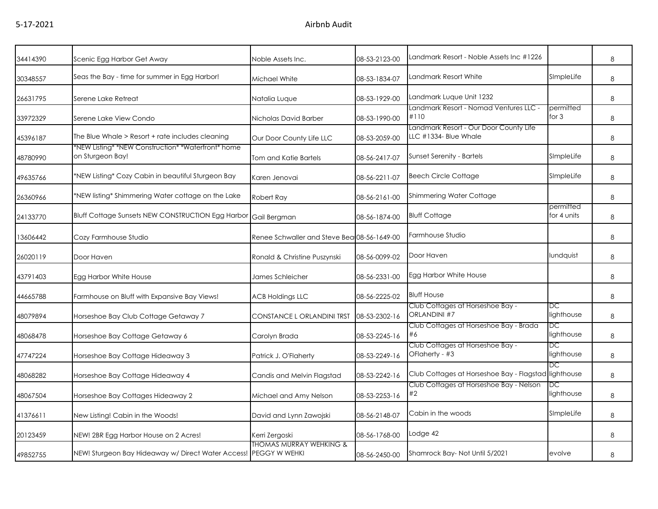| 34414390 | Scenic Egg Harbor Get Away                                             | Noble Assets Inc.                               | 08-53-2123-00 | Landmark Resort - Noble Assets Inc #1226                        |                          | 8 |
|----------|------------------------------------------------------------------------|-------------------------------------------------|---------------|-----------------------------------------------------------------|--------------------------|---|
| 30348557 | Seas the Bay - time for summer in Egg Harbor!                          | Michael White                                   | 08-53-1834-07 | Landmark Resort White                                           | SImpleLife               | 8 |
| 26631795 | Serene Lake Retreat                                                    | Natalia Luque                                   | 08-53-1929-00 | Landmark Luque Unit 1232                                        |                          | 8 |
| 33972329 | Serene Lake View Condo                                                 | Nicholas David Barber                           | 08-53-1990-00 | Landmark Resort - Nomad Ventures LLC -<br>#110                  | permitted<br>for $3$     | 8 |
| 45396187 | The Blue Whale > Resort + rate includes cleaning                       | Our Door County Life LLC                        | 08-53-2059-00 | Landmark Resort - Our Door County Life<br>LLC #1334- Blue Whale |                          | 8 |
| 48780990 | *NEW Listing* *NEW Construction* *Waterfront* home<br>on Sturgeon Bay! | Tom and Katie Bartels                           | 08-56-2417-07 | Sunset Serenity - Bartels                                       | SImpleLife               | 8 |
| 49635766 | *NEW Listing* Cozy Cabin in beautiful Sturgeon Bay                     | Karen Jenovai                                   | 08-56-2211-07 | <b>Beech Circle Cottage</b>                                     | SImpleLife               | 8 |
| 26360966 | *NEW listing* Shimmering Water cottage on the Lake                     | Robert Ray                                      | 08-56-2161-00 | <b>Shimmering Water Cottage</b>                                 |                          | 8 |
| 24133770 | <b>Bluff Cottage Sunsets NEW CONSTRUCTION Egg Harbor</b>               | Gail Bergman                                    | 08-56-1874-00 | <b>Bluff Cottage</b>                                            | permitted<br>for 4 units | 8 |
| 13606442 | Cozy Farmhouse Studio                                                  | Renee Schwaller and Steve Bea 08-56-1649-00     |               | Farmhouse Studio                                                |                          | 8 |
| 26020119 | Door Haven                                                             | Ronald & Christine Puszynski                    | 08-56-0099-02 | Door Haven                                                      | lundquist                | 8 |
| 43791403 | Egg Harbor White House                                                 | James Schleicher                                | 08-56-2331-00 | Egg Harbor White House                                          |                          | 8 |
| 44665788 | Farmhouse on Bluff with Expansive Bay Views!                           | <b>ACB Holdings LLC</b>                         | 08-56-2225-02 | <b>Bluff House</b>                                              |                          | 8 |
| 48079894 | Horseshoe Bay Club Cottage Getaway 7                                   | CONSTANCE LORLANDINI TRST                       | 08-53-2302-16 | Club Cottages at Horseshoe Bay -<br><b>ORLANDINI #7</b>         | DC<br>lighthouse         | 8 |
| 48068478 | Horseshoe Bay Cottage Getaway 6                                        | Carolyn Brada                                   | 08-53-2245-16 | Club Cottages at Horseshoe Bay - Brada<br>#6                    | DC<br>lighthouse         | 8 |
| 47747224 | Horseshoe Bay Cottage Hideaway 3                                       | Patrick J. O'Flaherty                           | 08-53-2249-16 | Club Cottages at Horseshoe Bay -<br>OFlaherty - #3              | DC<br>lighthouse         | 8 |
| 48068282 | Horseshoe Bay Cottage Hideaway 4                                       | Candis and Melvin Flagstad                      | 08-53-2242-16 | Club Cottages at Horseshoe Bay - Flagstad lighthouse            | DC                       | 8 |
| 48067504 | Horseshoe Bay Cottages Hideaway 2                                      | Michael and Amy Nelson                          | 08-53-2253-16 | Club Cottages at Horseshoe Bay - Nelson<br>#2                   | DC<br>lighthouse         | 8 |
| 41376611 | New Listing! Cabin in the Woods!                                       | David and Lynn Zawojski                         | 08-56-2148-07 | Cabin in the woods                                              | SImpleLife               | 8 |
| 20123459 | NEW! 2BR Egg Harbor House on 2 Acres!                                  | Kerri Zergoski                                  | 08-56-1768-00 | Lodge 42                                                        |                          | 8 |
| 49852755 | NEW! Sturgeon Bay Hideaway w/ Direct Water Access!                     | THOMAS MURRAY WEHKING &<br><b>PEGGY W WEHKI</b> | 08-56-2450-00 | Shamrock Bay-Not Until 5/2021                                   | evolve                   | 8 |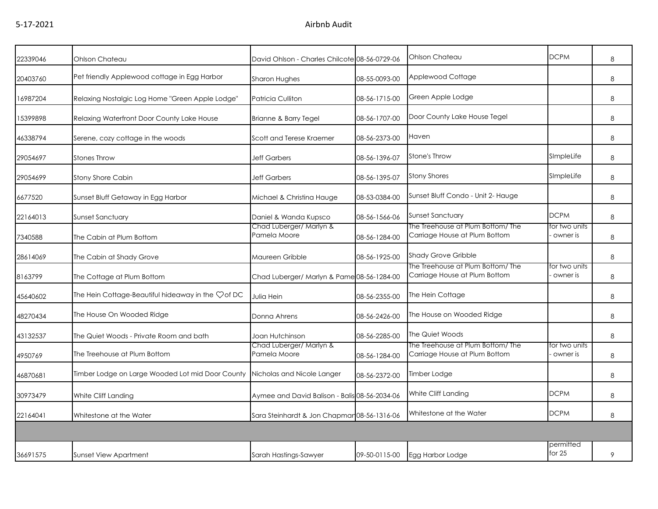| 22339046 | Ohlson Chateau                                    | David Ohlson - Charles Chilcote 08-56-0729-06 |               | Ohlson Chateau                                                     | <b>DCPM</b>               | 8 |
|----------|---------------------------------------------------|-----------------------------------------------|---------------|--------------------------------------------------------------------|---------------------------|---|
| 20403760 | Pet friendly Applewood cottage in Egg Harbor      | <b>Sharon Hughes</b>                          | 08-55-0093-00 | Applewood Cottage                                                  |                           | 8 |
| 16987204 | Relaxing Nostalgic Log Home "Green Apple Lodge"   | Patricia Culliton                             | 08-56-1715-00 | Green Apple Lodge                                                  |                           | 8 |
| 15399898 | Relaxing Waterfront Door County Lake House        | Brianne & Barry Tegel                         | 08-56-1707-00 | Door County Lake House Tegel                                       |                           | 8 |
| 46338794 | Serene, cozy cottage in the woods                 | Scott and Terese Kraemer                      | 08-56-2373-00 | Haven                                                              |                           | 8 |
| 29054697 | <b>Stones Throw</b>                               | <b>Jeff Garbers</b>                           | 08-56-1396-07 | <b>Stone's Throw</b>                                               | SImpleLife                | 8 |
| 29054699 | <b>Stony Shore Cabin</b>                          | <b>Jeff Garbers</b>                           | 08-56-1395-07 | <b>Stony Shores</b>                                                | SImpleLife                | 8 |
| 6677520  | Sunset Bluff Getaway in Egg Harbor                | Michael & Christina Hauge                     | 08-53-0384-00 | Sunset Bluff Condo - Unit 2- Hauge                                 |                           | 8 |
| 22164013 | Sunset Sanctuary                                  | Daniel & Wanda Kupsco                         | 08-56-1566-06 | <b>Sunset Sanctuary</b>                                            | <b>DCPM</b>               | 8 |
| 7340588  | The Cabin at Plum Bottom                          | Chad Luberger/ Marlyn &<br>Pamela Moore       | 08-56-1284-00 | The Treehouse at Plum Bottom/ The<br>Carriage House at Plum Bottom | for two units<br>owner is | 8 |
| 28614069 | The Cabin at Shady Grove                          | Maureen Gribble                               | 08-56-1925-00 | Shady Grove Gribble                                                |                           | 8 |
| 8163799  | The Cottage at Plum Bottom                        | Chad Luberger/ Marlyn & Pame 08-56-1284-00    |               | The Treehouse at Plum Bottom/ The<br>Carriage House at Plum Bottom | for two units<br>owner is | 8 |
| 45640602 | The Hein Cottage-Beautiful hideaway in the Vof DC | Julia Hein                                    | 08-56-2355-00 | The Hein Cottage                                                   |                           | 8 |
| 48270434 | The House On Wooded Ridge                         | Donna Ahrens                                  | 08-56-2426-00 | The House on Wooded Ridge                                          |                           | 8 |
| 43132537 | The Quiet Woods - Private Room and bath           | Joan Hutchinson                               | 08-56-2285-00 | The Quiet Woods                                                    |                           | 8 |
| 4950769  | The Treehouse at Plum Bottom                      | Chad Luberger/ Marlyn &<br>Pamela Moore       | 08-56-1284-00 | The Treehouse at Plum Bottom/ The<br>Carriage House at Plum Bottom | for two units<br>owner is | 8 |
| 46870681 | Timber Lodge on Large Wooded Lot mid Door County  | Nicholas and Nicole Langer                    | 08-56-2372-00 | Timber Lodge                                                       |                           | 8 |
| 30973479 | White Cliff Landing                               | Aymee and David Balison - Balis 08-56-2034-06 |               | White Cliff Landing                                                | <b>DCPM</b>               | 8 |
| 22164041 | Whitestone at the Water                           | Sara Steinhardt & Jon Chapmar 08-56-1316-06   |               | Whitestone at the Water                                            | <b>DCPM</b>               | 8 |
|          |                                                   |                                               |               |                                                                    |                           |   |
| 36691575 | <b>Sunset View Apartment</b>                      | Sarah Hastings-Sawyer                         | 09-50-0115-00 | Egg Harbor Lodge                                                   | permitted<br>for $25$     | 9 |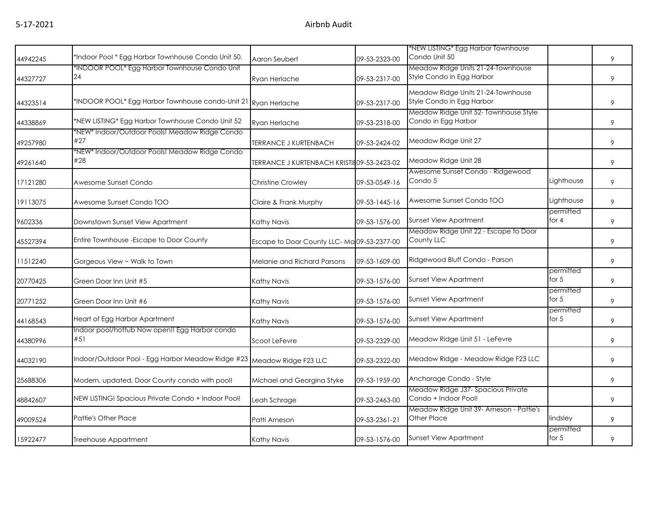| 44942245 | *Indoor Pool * Egg Harbor Townhouse Condo Unit 50.             | Aaron Seubert                               | 09-53-2323-00 | *NEW LISTING* Egg Harbor Townhouse<br>Condo Unit 50             |                      | 9 |
|----------|----------------------------------------------------------------|---------------------------------------------|---------------|-----------------------------------------------------------------|----------------------|---|
| 44327727 | *INDOOR POOL* Egg Harbor Townhouse Condo Unit<br>24            | Ryan Herlache                               | 09-53-2317-00 | Meadow Ridge Units 21-24-Townhouse<br>Style Condo in Egg Harbor |                      | 9 |
| 44323514 | *INDOOR POOL* Egg Harbor Townhouse condo-Unit 21 Ryan Herlache |                                             | 09-53-2317-00 | Meadow Ridge Units 21-24-Townhouse<br>Style Condo in Egg Harbor |                      | 9 |
| 44338869 | *NEW LISTING* Egg Harbor Townhouse Condo Unit 52               | Ryan Herlache                               | 09-53-2318-00 | Meadow Ridge Unit 52- Townhouse Style<br>Condo in Egg Harbor    |                      | 9 |
| 49257980 | *NEW* Indoor/Outdoor Pools! Meadow Ridge Condo<br>#27          | <b>TERRANCE J KURTENBACH</b>                | 09-53-2424-02 | Meadow Ridge Unit 27                                            |                      | 9 |
| 49261640 | *NEW* Indoor/Outdoor Pools! Meadow Ridge Condo<br>#28          | TERRANCE J KURTENBACH KRISTIE 09-53-2423-02 |               | Meadow Ridge Unit 28                                            |                      | 9 |
| 17121280 | Awesome Sunset Condo                                           | Christine Crowley                           | 09-53-0549-16 | Awesome Sunset Condo - Ridgewood<br>Condo 5                     | Lighthouse           | 9 |
| 19113075 | Awesome Sunset Condo TOO                                       | Claire & Frank Murphy                       | 09-53-1445-16 | Awesome Sunset Condo TOO                                        | Lighthouse           | 9 |
| 9602336  | Downstown Sunset View Apartment                                | Kathy Navis                                 | 09-53-1576-00 | <b>Sunset View Apartment</b>                                    | permitted<br>for 4   | 9 |
| 45527394 | Entire Townhouse - Escape to Door County                       | Escape to Door County LLC-Ma 09-53-2377-00  |               | Meadow Ridge Unit 22 - Escape to Door<br>County LLC             |                      | 9 |
| 11512240 | Gorgeous View ~ Walk to Town                                   | Melanie and Richard Parsons                 | 09-53-1609-00 | Ridgewood Bluff Condo - Parson                                  |                      | 9 |
| 20770425 | Green Door Inn Unit #5                                         | Kathy Navis                                 | 09-53-1576-00 | <b>Sunset View Apartment</b>                                    | permitted<br>for $5$ | 9 |
| 20771252 | Green Door Inn Unit #6                                         | Kathy Navis                                 | 09-53-1576-00 | Sunset View Apartment                                           | permitted<br>for $5$ | 9 |
| 44168543 | Heart of Egg Harbor Apartment                                  | Kathy Navis                                 | 09-53-1576-00 | Sunset View Apartment                                           | permitted<br>for $5$ | 9 |
| 44380996 | Indoor pool/hottub Now open!! Egg Harbor condo<br>#51          | Scoot LeFevre                               | 09-53-2329-00 | Meadow Ridge Unit 51 - LeFevre                                  |                      | 9 |
| 44032190 | Indoor/Outdoor Pool - Egg Harbor Meadow Ridge #23              | Meadow Ridge F23 LLC                        | 09-53-2322-00 | Meadow Ridge - Meadow Ridge F23 LLC                             |                      | 9 |
| 25688306 | Modern, updated, Door County condo with pool!                  | Michael and Georgina Styke                  | 09-53-1959-00 | Anchorage Condo - Style                                         |                      | 9 |
| 48842607 | NEW LISTING! Spacious Private Condo + Indoor Pool!             | Leah Schrage                                | 09-53-2463-00 | Meadow Ridge J37- Spacious Private<br>Condo + Indoor Pool!      |                      | 9 |
| 49009524 | <b>Pattie's Other Place</b>                                    | Patti Arneson                               | 09-53-2361-21 | Meadow Ridge Unit 39- Arneson - Pattie's<br>Other Place         | lindsley             | 9 |
| 15922477 | Treehouse Appartment                                           | Kathy Navis                                 | 09-53-1576-00 | <b>Sunset View Apartment</b>                                    | permitted<br>for $5$ | 9 |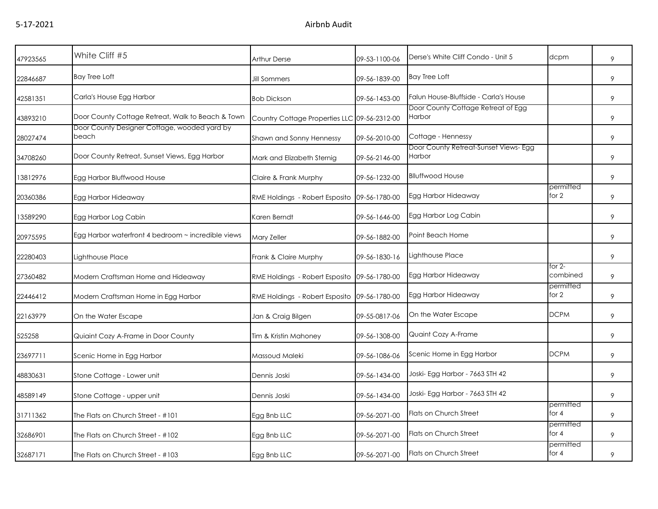| 47923565 | White Cliff #5                                        | Arthur Derse                                 | 09-53-1100-06 | Derse's White Cliff Condo - Unit 5              | dcpm                 | 9 |
|----------|-------------------------------------------------------|----------------------------------------------|---------------|-------------------------------------------------|----------------------|---|
| 22846687 | <b>Bay Tree Loft</b>                                  | <b>Jill Sommers</b>                          | 09-56-1839-00 | <b>Bay Tree Loft</b>                            |                      | 9 |
| 42581351 | Carla's House Egg Harbor                              | <b>Bob Dickson</b>                           | 09-56-1453-00 | Falun House-Bluffside - Carla's House           |                      | 9 |
| 43893210 | Door County Cottage Retreat, Walk to Beach & Town     | Country Cottage Properties LLC 09-56-2312-00 |               | Door County Cottage Retreat of Egg<br>Harbor    |                      | 9 |
| 28027474 | Door County Designer Cottage, wooded yard by<br>beach | Shawn and Sonny Hennessy                     | 09-56-2010-00 | Cottage - Hennessy                              |                      | 9 |
| 34708260 | Door County Retreat, Sunset Views, Egg Harbor         | Mark and Elizabeth Sternig                   | 09-56-2146-00 | Door County Retreat-Sunset Views- Egg<br>Harbor |                      | 9 |
| 13812976 | Egg Harbor Bluffwood House                            | Claire & Frank Murphy                        | 09-56-1232-00 | <b>Blluffwood House</b>                         |                      | 9 |
| 20360386 | Egg Harbor Hideaway                                   | RME Holdings - Robert Esposito               | 09-56-1780-00 | Egg Harbor Hideaway                             | permitted<br>for $2$ | 9 |
| 13589290 | Egg Harbor Log Cabin                                  | Karen Berndt                                 | 09-56-1646-00 | Egg Harbor Log Cabin                            |                      | 9 |
| 20975595 | Egg Harbor waterfront 4 bedroom ~ incredible views    | Mary Zeller                                  | 09-56-1882-00 | Point Beach Home                                |                      | 9 |
| 22280403 | Lighthouse Place                                      | Frank & Claire Murphy                        | 09-56-1830-16 | Lighthouse Place                                |                      | 9 |
| 27360482 | Modern Craftsman Home and Hideaway                    | RME Holdings - Robert Esposito               | 09-56-1780-00 | Egg Harbor Hideaway                             | for 2-<br>combined   | 9 |
| 22446412 | Modern Craftsman Home in Egg Harbor                   | RME Holdings - Robert Esposito 09-56-1780-00 |               | Egg Harbor Hideaway                             | permitted<br>for 2   | 9 |
| 22163979 | On the Water Escape                                   | Jan & Craig Bilgen                           | 09-55-0817-06 | On the Water Escape                             | <b>DCPM</b>          | 9 |
| 525258   | Quiaint Cozy A-Frame in Door County                   | Tim & Kristin Mahoney                        | 09-56-1308-00 | Quaint Cozy A-Frame                             |                      | 9 |
| 23697711 | Scenic Home in Egg Harbor                             | Massoud Maleki                               | 09-56-1086-06 | Scenic Home in Egg Harbor                       | <b>DCPM</b>          | 9 |
| 48830631 | Stone Cottage - Lower unit                            | Dennis Joski                                 | 09-56-1434-00 | Joski- Egg Harbor - 7663 STH 42                 |                      | 9 |
| 48589149 | Stone Cottage - upper unit                            | Dennis Joski                                 | 09-56-1434-00 | Joski- Egg Harbor - 7663 STH 42                 |                      | 9 |
| 31711362 | The Flats on Church Street - #101                     | Egg Bnb LLC                                  | 09-56-2071-00 | Flats on Church Street                          | permitted<br>for $4$ | 9 |
| 32686901 | The Flats on Church Street - #102                     | Egg Bnb LLC                                  | 09-56-2071-00 | Flats on Church Street                          | permitted<br>for 4   | 9 |
| 32687171 | The Flats on Church Street - #103                     | Egg Bnb LLC                                  | 09-56-2071-00 | Flats on Church Street                          | permitted<br>for $4$ | 9 |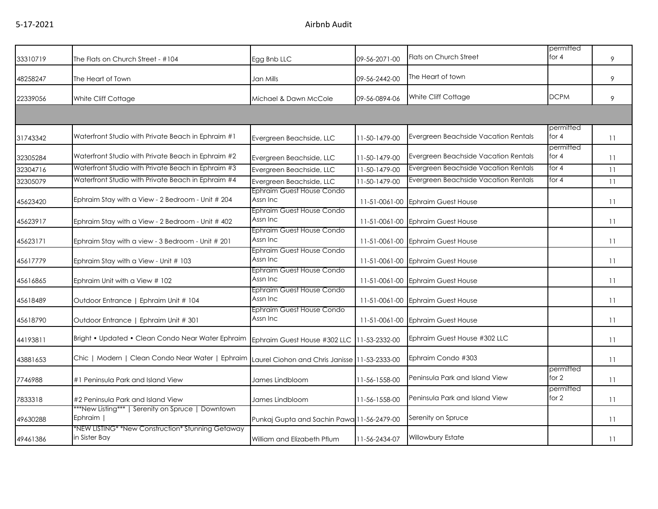| 33310719 | The Flats on Church Street - #104                                              | Egg Bnb LLC                                   | 09-56-2071-00 | Flats on Church Street                      | permitted<br>for $4$ | 9  |
|----------|--------------------------------------------------------------------------------|-----------------------------------------------|---------------|---------------------------------------------|----------------------|----|
| 48258247 | The Heart of Town                                                              | Jan Mills                                     | 09-56-2442-00 | The Heart of town                           |                      | 9  |
| 22339056 | White Cliff Cottage                                                            | Michael & Dawn McCole                         | 09-56-0894-06 | White Cliff Cottage                         | <b>DCPM</b>          | 9  |
|          |                                                                                |                                               |               |                                             |                      |    |
| 31743342 | Waterfront Studio with Private Beach in Ephraim #1                             | Evergreen Beachside, LLC                      | 11-50-1479-00 | Evergreen Beachside Vacation Rentals        | permitted<br>for 4   | 11 |
| 32305284 | Waterfront Studio with Private Beach in Ephraim #2                             | Evergreen Beachside, LLC                      | 11-50-1479-00 | Evergreen Beachside Vacation Rentals        | permitted<br>for $4$ | 11 |
| 32304716 | Waterfront Studio with Private Beach in Ephraim #3                             | Evergreen Beachside, LLC                      | 11-50-1479-00 | <b>Evergreen Beachside Vacation Rentals</b> | for $4$              | 11 |
| 32305079 | Waterfront Studio with Private Beach in Ephraim #4                             | Evergreen Beachside, LLC                      | 11-50-1479-00 | <b>Evergreen Beachside Vacation Rentals</b> | for $4$              | 11 |
| 45623420 | Ephraim Stay with a View - 2 Bedroom - Unit # 204                              | Ephraim Guest House Condo<br>Assn Inc         |               | 11-51-0061-00 Ephraim Guest House           |                      | 11 |
| 45623917 | Ephraim Stay with a View - 2 Bedroom - Unit # 402                              | Ephraim Guest House Condo<br>Assn Inc         |               | 11-51-0061-00 Ephraim Guest House           |                      | 11 |
| 45623171 | Ephraim Stay with a view - 3 Bedroom - Unit # 201                              | <b>Ephraim Guest House Condo</b><br>Assn Inc  |               | 11-51-0061-00 Ephraim Guest House           |                      | 11 |
| 45617779 | Ephraim Stay with a View - Unit # 103                                          | Ephraim Guest House Condo<br>Assn Inc         |               | 11-51-0061-00 Ephraim Guest House           |                      | 11 |
| 45616865 | Ephraim Unit with a View # 102                                                 | Ephraim Guest House Condo<br>Assn Inc         |               | 11-51-0061-00 Ephraim Guest House           |                      | 11 |
| 45618489 | Outdoor Entrance   Ephraim Unit # 104                                          | Ephraim Guest House Condo<br>Assn Inc         |               | 11-51-0061-00 Ephraim Guest House           |                      | 11 |
| 45618790 | Outdoor Entrance   Ephraim Unit # 301                                          | Ephraim Guest House Condo<br>Assn Inc         |               | 11-51-0061-00 Ephraim Guest House           |                      | 11 |
| 44193811 | Bright • Updated • Clean Condo Near Water Ephraim Ephraim Guest House #302 LLC |                                               | 11-53-2332-00 | Ephraim Guest House #302 LLC                |                      | 11 |
| 43881653 | Chic   Modern   Clean Condo Near Water   Ephraim                               | Laurel Ciohon and Chris Janisse 11-53-2333-00 |               | Ephraim Condo #303                          |                      | 11 |
| 7746988  | #1 Peninsula Park and Island View                                              | James Lindbloom                               | 11-56-1558-00 | Peninsula Park and Island View              | permitted<br>for 2   | 11 |
| 7833318  | #2 Peninsula Park and Island View                                              | James Lindbloom                               | 11-56-1558-00 | Peninsula Park and Island View              | permitted<br>for 2   | 11 |
| 49630288 | ***New Listing***   Serenity on Spruce   Downtown<br>Ephraim                   | Punkaj Gupta and Sachin Pawa 11-56-2479-00    |               | Serenity on Spruce                          |                      | 11 |
| 49461386 | *NEW LISTING* *New Construction* Stunning Getaway<br>in Sister Bay             | William and Elizabeth Pflum                   | 11-56-2434-07 | Willowbury Estate                           |                      | 11 |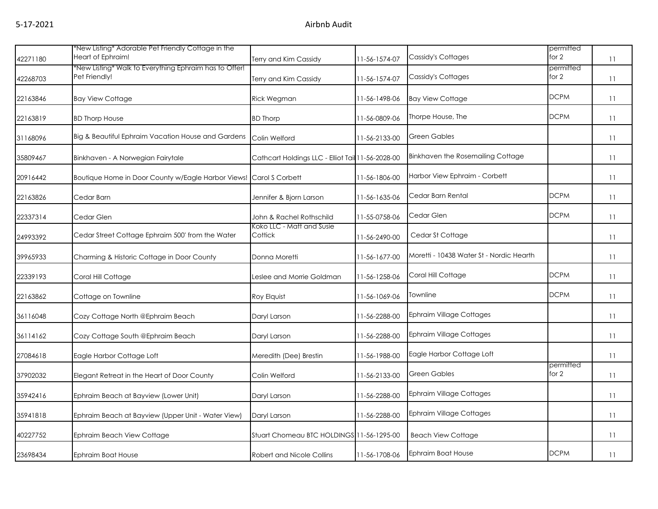|          | *New Listing* Adorable Pet Friendly Cottage in the                      |                                                   |               |                                          | permitted          |    |
|----------|-------------------------------------------------------------------------|---------------------------------------------------|---------------|------------------------------------------|--------------------|----|
| 42271180 | Heart of Ephraim!                                                       | Terry and Kim Cassidy                             | 11-56-1574-07 | Cassidy's Cottages                       | for $2$            | 11 |
| 42268703 | *New Listing* Walk to Everything Ephraim has to Offer!<br>Pet Friendly! | Terry and Kim Cassidy                             | 11-56-1574-07 | Cassidy's Cottages                       | permitted<br>for 2 | 11 |
| 22163846 | <b>Bay View Cottage</b>                                                 | Rick Wegman                                       | 11-56-1498-06 | <b>Bay View Cottage</b>                  | <b>DCPM</b>        | 11 |
| 22163819 | <b>BD Thorp House</b>                                                   | <b>BD Thorp</b>                                   | 11-56-0809-06 | Thorpe House, The                        | <b>DCPM</b>        | 11 |
| 31168096 | Big & Beautiful Ephraim Vacation House and Gardens                      | Colin Welford                                     | 11-56-2133-00 | <b>Green Gables</b>                      |                    | 11 |
| 35809467 | Binkhaven - A Norwegian Fairytale                                       | Cathcart Holdings LLC - Elliot Tail 11-56-2028-00 |               | Binkhaven the Rosemailing Cottage        |                    | 11 |
| 20916442 | Boutique Home in Door County w/Eagle Harbor Views!                      | Carol S Corbett                                   | 11-56-1806-00 | Harbor View Ephraim - Corbett            |                    | 11 |
| 22163826 | Cedar Barn                                                              | Jennifer & Bjorn Larson                           | 11-56-1635-06 | Cedar Barn Rental                        | <b>DCPM</b>        | 11 |
| 22337314 | Cedar Glen                                                              | John & Rachel Rothschild                          | 11-55-0758-06 | Cedar Glen                               | <b>DCPM</b>        | 11 |
| 24993392 | Cedar Street Cottage Ephraim 500' from the Water                        | Koko LLC - Matt and Susie<br>Cottick              | 11-56-2490-00 | Cedar St Cottage                         |                    | 11 |
| 39965933 | Charming & Historic Cottage in Door County                              | Donna Moretti                                     | 11-56-1677-00 | Moretti - 10438 Water St - Nordic Hearth |                    | 11 |
| 22339193 | Coral Hill Cottage                                                      | Leslee and Morrie Goldman                         | 11-56-1258-06 | Coral Hill Cottage                       | <b>DCPM</b>        | 11 |
| 22163862 | Cottage on Townline                                                     | Roy Elquist                                       | 11-56-1069-06 | Townline                                 | <b>DCPM</b>        | 11 |
| 36116048 | Cozy Cottage North @Ephraim Beach                                       | Daryl Larson                                      | 11-56-2288-00 | <b>Ephraim Village Cottages</b>          |                    | 11 |
| 36114162 | Cozy Cottage South @Ephraim Beach                                       | Daryl Larson                                      | 11-56-2288-00 | <b>Ephraim Village Cottages</b>          |                    | 11 |
| 27084618 | Eagle Harbor Cottage Loft                                               | Meredith (Dee) Brestin                            | 11-56-1988-00 | Eagle Harbor Cottage Loft                |                    | 11 |
| 37902032 | Elegant Retreat in the Heart of Door County                             | Colin Welford                                     | 11-56-2133-00 | <b>Green Gables</b>                      | permitted<br>for 2 | 11 |
| 35942416 | Ephraim Beach at Bayview (Lower Unit)                                   | Daryl Larson                                      | 11-56-2288-00 | <b>Ephraim Village Cottages</b>          |                    | 11 |
| 35941818 | Ephraim Beach at Bayview (Upper Unit - Water View)                      | Daryl Larson                                      | 11-56-2288-00 | <b>Ephraim Village Cottages</b>          |                    | 11 |
| 40227752 | Ephraim Beach View Cottage                                              | Stuart Chomeau BTC HOLDINGS 11-56-1295-00         |               | <b>Beach View Cottage</b>                |                    | 11 |
| 23698434 | Ephraim Boat House                                                      | <b>Robert and Nicole Collins</b>                  | 11-56-1708-06 | Ephraim Boat House                       | <b>DCPM</b>        | 11 |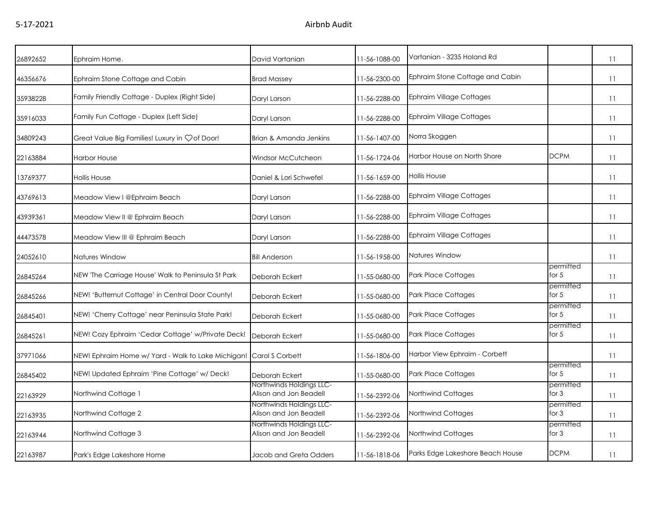| 26892652 | Ephraim Home.                                      | David Vartanian                                    | 11-56-1088-00 | Vartanian - 3235 Holand Rd       |                      | 11 |
|----------|----------------------------------------------------|----------------------------------------------------|---------------|----------------------------------|----------------------|----|
| 46356676 | Ephraim Stone Cottage and Cabin                    | <b>Brad Massey</b>                                 | 11-56-2300-00 | Ephraim Stone Cottage and Cabin  |                      | 11 |
| 35938228 | Family Friendly Cottage - Duplex (Right Side)      | Daryl Larson                                       | 11-56-2288-00 | <b>Ephraim Village Cottages</b>  |                      | 11 |
| 35916033 | Family Fun Cottage - Duplex (Left Side)            | Daryl Larson                                       | 11-56-2288-00 | <b>Ephraim Village Cottages</b>  |                      | 11 |
| 34809243 | Great Value Big Families! Luxury in Çof Door!      | Brian & Amanda Jenkins                             | 11-56-1407-00 | Norra Skoggen                    |                      | 11 |
| 22163884 | <b>Harbor House</b>                                | Windsor McCutcheon                                 | 11-56-1724-06 | Harbor House on North Shore      | <b>DCPM</b>          | 11 |
| 13769377 | Hollis House                                       | Daniel & Lori Schwefel                             | 11-56-1659-00 | <b>Hollis House</b>              |                      | 11 |
| 43769613 | Meadow View I @Ephraim Beach                       | Daryl Larson                                       | 11-56-2288-00 | <b>Ephraim Village Cottages</b>  |                      | 11 |
| 43939361 | Meadow View II @ Ephraim Beach                     | Daryl Larson                                       | 11-56-2288-00 | <b>Ephraim Village Cottages</b>  |                      | 11 |
| 44473578 | Meadow View III @ Ephraim Beach                    | Daryl Larson                                       | 11-56-2288-00 | Ephraim Village Cottages         |                      | 11 |
| 24052610 | Natures Window                                     | <b>Bill Anderson</b>                               | 11-56-1958-00 | Natures Window                   |                      | 11 |
| 26845264 | NEW 'The Carriage House' Walk to Peninsula St Park | Deborah Eckert                                     | 11-55-0680-00 | <b>Park Place Cottages</b>       | permitted<br>for $5$ | 11 |
| 26845266 | NEW! 'Butternut Cottage' in Central Door County!   | Deborah Eckert                                     | 11-55-0680-00 | Park Place Cottages              | permitted<br>for $5$ | 11 |
| 26845401 | NEW! 'Cherry Cottage' near Peninsula State Park!   | Deborah Eckert                                     | 11-55-0680-00 | <b>Park Place Cottages</b>       | permitted<br>for $5$ | 11 |
| 26845261 | NEW! Cozy Ephraim 'Cedar Cottage' w/Private Deck!  | Deborah Eckert                                     | 11-55-0680-00 | Park Place Cottages              | permitted<br>for $5$ | 11 |
| 37971066 | NEW! Ephraim Home w/ Yard - Walk to Lake Michigan! | Carol S Corbett                                    | 11-56-1806-00 | Harbor View Ephraim - Corbett    |                      | 11 |
| 26845402 | NEW! Updated Ephraim 'Pine Cottage' w/ Deck!       | Deborah Eckert                                     | 11-55-0680-00 | Park Place Cottages              | permitted<br>for $5$ | 11 |
| 22163929 | Northwind Cottage 1                                | Northwinds Holdings LLC-<br>Alison and Jon Beadell | 11-56-2392-06 | Northwind Cottages               | permitted<br>for $3$ | 11 |
| 22163935 | Northwind Cottage 2                                | Northwinds Holdings LLC-<br>Alison and Jon Beadell | 11-56-2392-06 | Northwind Cottages               | permitted<br>for 3   | 11 |
| 22163944 | Northwind Cottage 3                                | Northwinds Holdings LLC-<br>Alison and Jon Beadell | 11-56-2392-06 | Northwind Cottages               | permitted<br>for $3$ | 11 |
| 22163987 | Park's Edge Lakeshore Home                         | Jacob and Greta Odders                             | 11-56-1818-06 | Parks Edge Lakeshore Beach House | <b>DCPM</b>          | 11 |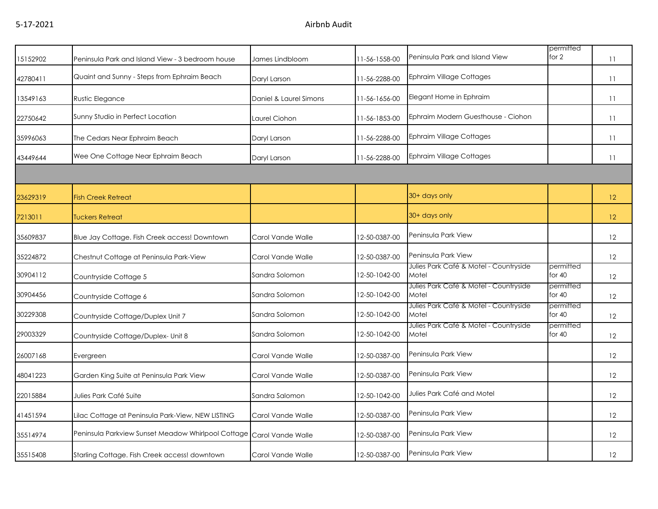| 15152902 | Peninsula Park and Island View - 3 bedroom house   | James Lindbloom        | 11-56-1558-00 | Peninsula Park and Island View                  | permitted<br>for 2    | 11              |
|----------|----------------------------------------------------|------------------------|---------------|-------------------------------------------------|-----------------------|-----------------|
| 42780411 | Quaint and Sunny - Steps from Ephraim Beach        | Daryl Larson           | 11-56-2288-00 | <b>Ephraim Village Cottages</b>                 |                       | 11              |
| 13549163 | <b>Rustic Elegance</b>                             | Daniel & Laurel Simons | 11-56-1656-00 | Elegant Home in Ephraim                         |                       | 11              |
| 22750642 | Sunny Studio in Perfect Location                   | Laurel Ciohon          | 11-56-1853-00 | Ephraim Modern Guesthouse - Ciohon              |                       | 11              |
| 35996063 | The Cedars Near Ephraim Beach                      | Daryl Larson           | 11-56-2288-00 | <b>Ephraim Village Cottages</b>                 |                       | 11              |
| 43449644 | Wee One Cottage Near Ephraim Beach                 | Daryl Larson           | 11-56-2288-00 | <b>Ephraim Village Cottages</b>                 |                       | 11              |
|          |                                                    |                        |               |                                                 |                       |                 |
| 23629319 | <b>Fish Creek Retreat</b>                          |                        |               | 30+ days only                                   |                       | 12 <sup>°</sup> |
| 7213011  | <b>Tuckers Retreat</b>                             |                        |               | 30+ days only                                   |                       | 12 <sup>°</sup> |
| 35609837 | Blue Jay Cottage. Fish Creek access! Downtown      | Carol Vande Walle      | 12-50-0387-00 | Peninsula Park View                             |                       | 12              |
| 35224872 | Chestnut Cottage at Peninsula Park-View            | Carol Vande Walle      | 12-50-0387-00 | Peninsula Park View                             |                       | 12              |
| 30904112 | Countryside Cottage 5                              | Sandra Solomon         | 12-50-1042-00 | Julies Park Café & Motel - Countryside<br>Motel | permitted<br>for $40$ | 12              |
| 30904456 | Countryside Cottage 6                              | Sandra Solomon         | 12-50-1042-00 | Julies Park Café & Motel - Countryside<br>Motel | permitted<br>for $40$ | 12              |
| 30229308 | Countryside Cottage/Duplex Unit 7                  | Sandra Solomon         | 12-50-1042-00 | Julies Park Café & Motel - Countryside<br>Motel | permitted<br>for $40$ | 12              |
| 29003329 | Countryside Cottage/Duplex- Unit 8                 | Sandra Solomon         | 12-50-1042-00 | Julies Park Café & Motel - Countryside<br>Motel | permitted<br>for $40$ | 12              |
| 26007168 | Evergreen                                          | Carol Vande Walle      | 12-50-0387-00 | Peninsula Park View                             |                       | 12              |
| 48041223 | Garden King Suite at Peninsula Park View           | Carol Vande Walle      | 12-50-0387-00 | Peninsula Park View                             |                       | 12              |
| 22015884 | Julies Park Café Suite                             | Sandra Salomon         | 12-50-1042-00 | Julies Park Café and Motel                      |                       | 12              |
| 41451594 | Lilac Cottage at Peninsula Park-View, NEW LISTING  | Carol Vande Walle      | 12-50-0387-00 | Peninsula Park View                             |                       | 12              |
| 35514974 | Peninsula Parkview Sunset Meadow Whirlpool Cottage | Carol Vande Walle      | 12-50-0387-00 | Peninsula Park View                             |                       | 12              |
| 35515408 | Starling Cottage. Fish Creek access! downtown      | Carol Vande Walle      | 12-50-0387-00 | Peninsula Park View                             |                       | 12              |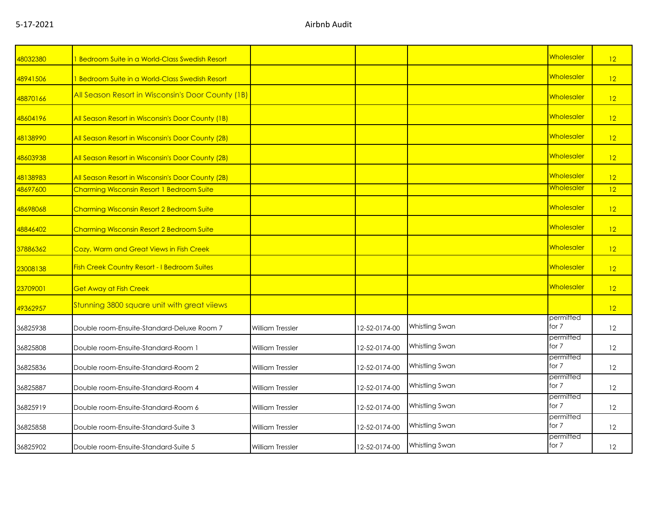| 48032380 | 1 Bedroom Suite in a World-Class Swedish Resort     |                         |               |                | Wholesaler         | 12 |
|----------|-----------------------------------------------------|-------------------------|---------------|----------------|--------------------|----|
| 48941506 | 1 Bedroom Suite in a World-Class Swedish Resort     |                         |               |                | Wholesaler         | 12 |
| 48870166 | All Season Resort in Wisconsin's Door County (1B)   |                         |               |                | Wholesaler         | 12 |
| 48604196 | All Season Resort in Wisconsin's Door County (1B)   |                         |               |                | Wholesaler         | 12 |
| 48138990 | All Season Resort in Wisconsin's Door County (2B)   |                         |               |                | Wholesaler         | 12 |
| 48603938 | All Season Resort in Wisconsin's Door County (2B)   |                         |               |                | <b>Wholesaler</b>  | 12 |
| 48138983 | All Season Resort in Wisconsin's Door County (2B)   |                         |               |                | Wholesaler         | 12 |
| 48697600 | Charming Wisconsin Resort 1 Bedroom Suite           |                         |               |                | Wholesaler         | 12 |
| 48698068 | Charming Wisconsin Resort 2 Bedroom Suite           |                         |               |                | Wholesaler         | 12 |
| 48846402 | Charming Wisconsin Resort 2 Bedroom Suite           |                         |               |                | Wholesaler         | 12 |
| 37886362 | Cozy, Warm and Great Views in Fish Creek            |                         |               |                | Wholesaler         | 12 |
| 23008138 | <b>Fish Creek Country Resort - I Bedroom Suites</b> |                         |               |                | Wholesaler         | 12 |
| 23709001 | <b>Get Away at Fish Creek</b>                       |                         |               |                | Wholesaler         | 12 |
| 49362957 | Stunning 3800 square unit with great vilews         |                         |               |                |                    | 12 |
| 36825938 | Double room-Ensuite-Standard-Deluxe Room 7          | <b>William Tressler</b> | 12-52-0174-00 | Whistling Swan | permitted<br>for 7 | 12 |
| 36825808 | Double room-Ensuite-Standard-Room 1                 | <b>William Tressler</b> | 12-52-0174-00 | Whistling Swan | permitted<br>for 7 | 12 |
| 36825836 | Double room-Ensuite-Standard-Room 2                 | <b>William Tressler</b> | 12-52-0174-00 | Whistling Swan | permitted<br>for 7 | 12 |
| 36825887 | Double room-Ensuite-Standard-Room 4                 | <b>William Tressler</b> | 12-52-0174-00 | Whistling Swan | permitted<br>for 7 | 12 |
| 36825919 | Double room-Ensuite-Standard-Room 6                 | <b>William Tressler</b> | 12-52-0174-00 | Whistling Swan | permitted<br>for 7 | 12 |
| 36825858 | Double room-Ensuite-Standard-Suite 3                | <b>William Tressler</b> | 12-52-0174-00 | Whistling Swan | permitted<br>for 7 | 12 |
| 36825902 | Double room-Ensuite-Standard-Suite 5                | <b>William Tressler</b> | 12-52-0174-00 | Whistling Swan | permitted<br>for 7 | 12 |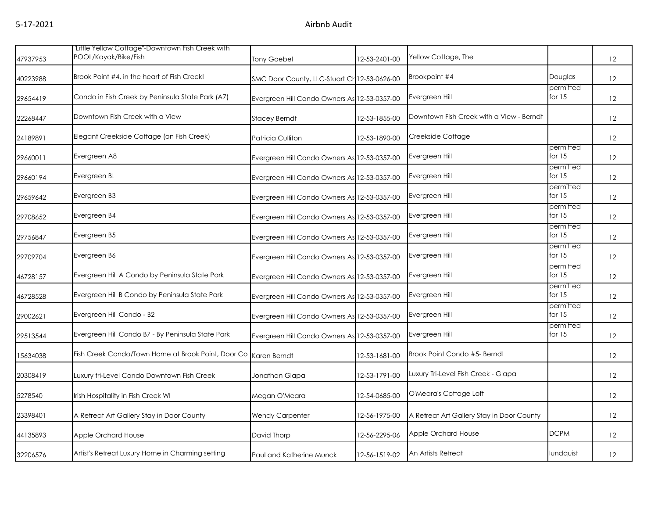| 47937953 | "Little Yellow Cottage"-Downtown Fish Creek with<br>POOL/Kayak/Bike/Fish | <b>Tony Goebel</b>                           | 12-53-2401-00 | Yellow Cottage, The                       |                       | 12 |
|----------|--------------------------------------------------------------------------|----------------------------------------------|---------------|-------------------------------------------|-----------------------|----|
| 40223988 | Brook Point #4, in the heart of Fish Creek!                              | SMC Door County, LLC-Stuart Ch 12-53-0626-00 |               | Brookpoint #4                             | Douglas               | 12 |
| 29654419 | Condo in Fish Creek by Peninsula State Park (A7)                         | Evergreen Hill Condo Owners As 12-53-0357-00 |               | Evergreen Hill                            | permitted<br>for $15$ | 12 |
| 22268447 | Downtown Fish Creek with a View                                          | <b>Stacey Berndt</b>                         | 12-53-1855-00 | Downtown Fish Creek with a View - Berndt  |                       | 12 |
| 24189891 | Elegant Creekside Cottage (on Fish Creek)                                | Patricia Culliton                            | 12-53-1890-00 | Creekside Cottage                         |                       | 12 |
| 29660011 | Evergreen A8                                                             | Evergreen Hill Condo Owners As 12-53-0357-00 |               | Evergreen Hill                            | permitted<br>for $15$ | 12 |
| 29660194 | Evergreen B!                                                             | Evergreen Hill Condo Owners As 12-53-0357-00 |               | Evergreen Hill                            | permitted<br>for $15$ | 12 |
| 29659642 | Evergreen B3                                                             | Evergreen Hill Condo Owners As 12-53-0357-00 |               | Evergreen Hill                            | permitted<br>for $15$ | 12 |
| 29708652 | Evergreen B4                                                             | Evergreen Hill Condo Owners As 12-53-0357-00 |               | Evergreen Hill                            | permitted<br>for $15$ | 12 |
| 29756847 | Evergreen B5                                                             | Evergreen Hill Condo Owners As 12-53-0357-00 |               | Evergreen Hill                            | permitted<br>for $15$ | 12 |
| 29709704 | Evergreen B6                                                             | Evergreen Hill Condo Owners As 12-53-0357-00 |               | Evergreen Hill                            | permitted<br>for $15$ | 12 |
| 46728157 | Evergreen Hill A Condo by Peninsula State Park                           | Evergreen Hill Condo Owners As 12-53-0357-00 |               | Evergreen Hill                            | permitted<br>for $15$ | 12 |
| 46728528 | Evergreen Hill B Condo by Peninsula State Park                           | Evergreen Hill Condo Owners As 12-53-0357-00 |               | Evergreen Hill                            | permitted<br>for $15$ | 12 |
| 29002621 | Evergreen Hill Condo - B2                                                | Evergreen Hill Condo Owners As 12-53-0357-00 |               | Evergreen Hill                            | permitted<br>for $15$ | 12 |
| 29513544 | Evergreen Hill Condo B7 - By Peninsula State Park                        | Evergreen Hill Condo Owners As 12-53-0357-00 |               | Evergreen Hill                            | permitted<br>for $15$ | 12 |
| 15634038 | Fish Creek Condo/Town Home at Brook Point, Door Co Karen Berndt          |                                              | 12-53-1681-00 | Brook Point Condo #5- Berndt              |                       | 12 |
| 20308419 | Luxury tri-Level Condo Downtown Fish Creek                               | Jonathan Glapa                               | 12-53-1791-00 | Luxury Tri-Level Fish Creek - Glapa       |                       | 12 |
| 5278540  | Irish Hospitality in Fish Creek WI                                       | Megan O'Meara                                | 12-54-0685-00 | O'Meara's Cottage Loft                    |                       | 12 |
| 23398401 | A Retreat Art Gallery Stay in Door County                                | <b>Wendy Carpenter</b>                       | 12-56-1975-00 | A Retreat Art Gallery Stay in Door County |                       | 12 |
| 44135893 | Apple Orchard House                                                      | David Thorp                                  | 12-56-2295-06 | Apple Orchard House                       | <b>DCPM</b>           | 12 |
| 32206576 | Artist's Retreat Luxury Home in Charming setting                         | Paul and Katherine Munck                     | 12-56-1519-02 | An Artists Retreat                        | lundquist             | 12 |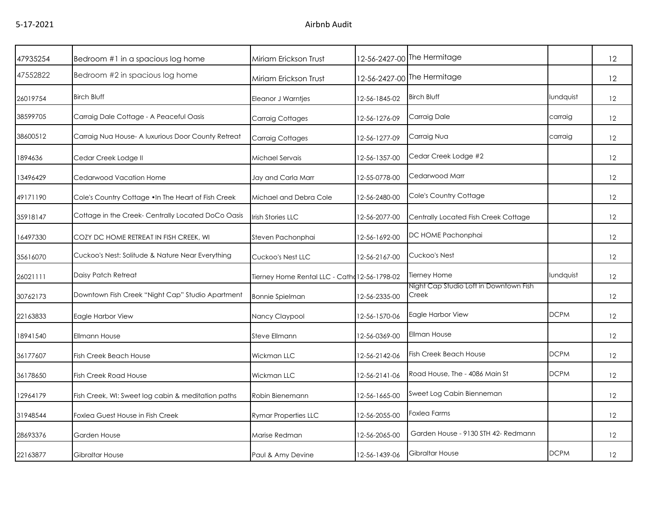| 47935254 | Bedroom #1 in a spacious log home                   | Miriam Erickson Trust                        |               | 12-56-2427-00 The Hermitage                     |             | 12                |
|----------|-----------------------------------------------------|----------------------------------------------|---------------|-------------------------------------------------|-------------|-------------------|
| 47552822 | Bedroom #2 in spacious log home                     | Miriam Erickson Trust                        |               | 12-56-2427-00 The Hermitage                     |             | 12                |
| 26019754 | <b>Birch Bluff</b>                                  | Eleanor J Warntjes                           | 12-56-1845-02 | <b>Birch Bluff</b>                              | lundquist   | 12                |
| 38599705 | Carraig Dale Cottage - A Peaceful Oasis             | Carraig Cottages                             | 12-56-1276-09 | Carraig Dale                                    | carraig     | 12                |
| 38600512 | Carraig Nua House- A luxurious Door County Retreat  | <b>Carraig Cottages</b>                      | 12-56-1277-09 | Carraig Nua                                     | carraig     | 12                |
| 1894636  | Cedar Creek Lodge II                                | Michael Servais                              | 12-56-1357-00 | Cedar Creek Lodge #2                            |             | 12                |
| 13496429 | Cedarwood Vacation Home                             | Jay and Carla Marr                           | 12-55-0778-00 | Cedarwood Marr                                  |             | 12                |
| 49171190 | Cole's Country Cottage . In The Heart of Fish Creek | Michael and Debra Cole                       | 12-56-2480-00 | Cole's Country Cottage                          |             | $12 \overline{ }$ |
| 35918147 | Cottage in the Creek- Centrally Located DoCo Oasis  | Irish Stories LLC                            | 12-56-2077-00 | Centrally Located Fish Creek Cottage            |             | 12                |
| 16497330 | COZY DC HOME RETREAT IN FISH CREEK, WI              | Steven Pachonphai                            | 12-56-1692-00 | DC HOME Pachonphai                              |             | 12                |
| 35616070 | Cuckoo's Nest: Solitude & Nature Near Everything    | Cuckoo's Nest LLC                            | 12-56-2167-00 | Cuckoo's Nest                                   |             | 12                |
| 26021111 | Daisy Patch Retreat                                 | Tierney Home Rental LLC - Cath 12-56-1798-02 |               | <b>Tierney Home</b>                             | lundquist   | 12                |
| 30762173 | Downtown Fish Creek "Night Cap" Studio Apartment    | <b>Bonnie Spielman</b>                       | 12-56-2335-00 | Night Cap Studio Loft in Downtown Fish<br>Creek |             | 12                |
| 22163833 | Eagle Harbor View                                   | Nancy Claypool                               | 12-56-1570-06 | Eagle Harbor View                               | <b>DCPM</b> | 12                |
| 18941540 | <b>Ellmann House</b>                                | Steve Ellmann                                | 12-56-0369-00 | Ellman House                                    |             | 12                |
| 36177607 | <b>Fish Creek Beach House</b>                       | Wickman LLC                                  | 12-56-2142-06 | <b>Fish Creek Beach House</b>                   | <b>DCPM</b> | 12                |
| 36178650 | <b>Fish Creek Road House</b>                        | Wickman LLC                                  | 12-56-2141-06 | Road House, The - 4086 Main St                  | <b>DCPM</b> | 12                |
| 12964179 | Fish Creek, WI: Sweet log cabin & meditation paths  | Robin Bienemann                              | 12-56-1665-00 | Sweet Log Cabin Bienneman                       |             | 12                |
| 31948544 | Foxlea Guest House in Fish Creek                    | <b>Rymar Properties LLC</b>                  | 12-56-2055-00 | Foxlea Farms                                    |             | 12                |
| 28693376 | Garden House                                        | Marise Redman                                | 12-56-2065-00 | Garden House - 9130 STH 42- Redmann             |             | 12                |
| 22163877 | Gibraltar House                                     | Paul & Amy Devine                            | 12-56-1439-06 | Gibraltar House                                 | <b>DCPM</b> | 12                |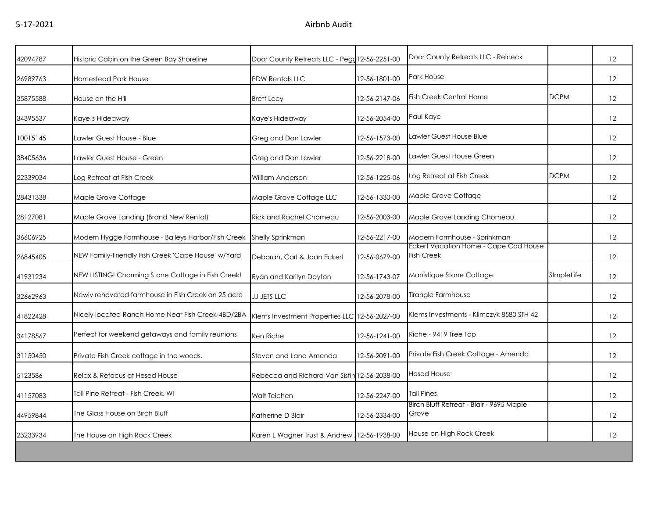| 42094787 | Historic Cabin on the Green Bay Shoreline          | Door County Retreats LLC - Pegg 12-56-2251-00 |               | Door County Retreats LLC - Reineck                         |             | 12 |
|----------|----------------------------------------------------|-----------------------------------------------|---------------|------------------------------------------------------------|-------------|----|
| 26989763 | Homestead Park House                               | <b>PDW Rentals LLC</b>                        | 12-56-1801-00 | Park House                                                 |             | 12 |
| 35875588 | House on the Hill                                  | <b>Brett Lecy</b>                             | 12-56-2147-06 | <b>Fish Creek Central Home</b>                             | <b>DCPM</b> | 12 |
| 34395537 | Kaye's Hideaway                                    | Kaye's Hideaway                               | 12-56-2054-00 | Paul Kaye                                                  |             | 12 |
| 10015145 | Lawler Guest House - Blue                          | Greg and Dan Lawler                           | 12-56-1573-00 | Lawler Guest House Blue                                    |             | 12 |
| 38405636 | Lawler Guest House - Green                         | Greg and Dan Lawler                           | 12-56-2218-00 | Lawler Guest House Green                                   |             | 12 |
| 22339034 | Log Retreat at Fish Creek                          | William Anderson                              | 12-56-1225-06 | Log Retreat at Fish Creek                                  | <b>DCPM</b> | 12 |
| 28431338 | Maple Grove Cottage                                | Maple Grove Cottage LLC                       | 12-56-1330-00 | Maple Grove Cottage                                        |             | 12 |
| 28127081 | Maple Grove Landing (Brand New Rental)             | <b>Rick and Rachel Chomeau</b>                | 12-56-2003-00 | Maple Grove Landing Chomeau                                |             | 12 |
| 36606925 | Modern Hygge Farmhouse - Baileys Harbor/Fish Creek | <b>Shelly Sprinkman</b>                       | 12-56-2217-00 | Modern Farmhouse - Sprinkman                               |             | 12 |
| 26845405 | NEW Family-Friendly Fish Creek 'Cape House' w/Yard | Deborah, Carl & Joan Eckert                   | 12-56-0679-00 | Eckert Vacation Home - Cape Cod House<br><b>Fish Creek</b> |             | 12 |
| 41931234 | NEW LISTING! Charming Stone Cottage in Fish Creek! | Ryan and Karilyn Dayton                       | 12-56-1743-07 | Manistique Stone Cottage                                   | SImpleLife  | 12 |
| 32662963 | Newly renovated farmhouse in Fish Creek on 25 acre | JJ JETS LLC                                   | 12-56-2078-00 | Tirangle Farmhouse                                         |             | 12 |
| 41822428 | Nicely located Ranch Home Near Fish Creek-4BD/2BA  | Klems Investment Properties LLC 12-56-2027-00 |               | Klems Investments - Klimczyk 8580 STH 42                   |             | 12 |
| 34178567 | Perfect for weekend getaways and family reunions   | Ken Riche                                     | 12-56-1241-00 | Riche - 9419 Tree Top                                      |             | 12 |
| 31150450 | Private Fish Creek cottage in the woods.           | Steven and Lana Amenda                        | 12-56-2091-00 | Private Fish Creek Cottage - Amenda                        |             | 12 |
| 5123586  | Relax & Refocus at Hesed House                     | Rebecca and Richard Van Sistin 12-56-2038-00  |               | <b>Hesed House</b>                                         |             | 12 |
| 41157083 | Tall Pine Retreat - Fish Creek, WI                 | Walt Teichen                                  | 12-56-2247-00 | <b>Tall Pines</b>                                          |             | 12 |
| 44959844 | The Glass House on Birch Bluff                     | Katherine D Blair                             | 12-56-2334-00 | Birch Bluff Retreat - Blair - 9695 Maple<br>Grove          |             | 12 |
| 23233934 | The House on High Rock Creek                       | Karen L Wagner Trust & Andrew 12-56-1938-00   |               | House on High Rock Creek                                   |             | 12 |
|          |                                                    |                                               |               |                                                            |             |    |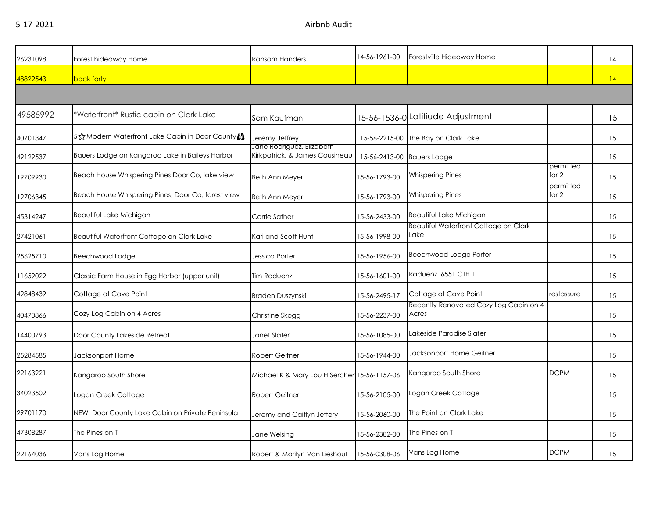5-17-2021 Airbnb Audit

| 26231098 | Forest hideaway Home                               | <b>Ransom Flanders</b>                                      | 14-56-1961-00              | Forestville Hideaway Home                            |                      | 14 |  |  |  |
|----------|----------------------------------------------------|-------------------------------------------------------------|----------------------------|------------------------------------------------------|----------------------|----|--|--|--|
| 48822543 | back forty                                         |                                                             |                            |                                                      |                      | 4  |  |  |  |
|          |                                                    |                                                             |                            |                                                      |                      |    |  |  |  |
| 49585992 | *Waterfront* Rustic cabin on Clark Lake            | Sam Kaufman                                                 |                            | 15-56-1536-0 Latitiude Adjustment                    |                      | 15 |  |  |  |
| 40701347 | 5 St Modern Waterfront Lake Cabin in Door County   | Jeremy Jeffrey                                              |                            | 15-56-2215-00 The Bay on Clark Lake                  |                      | 15 |  |  |  |
| 49129537 | Bauers Lodge on Kangaroo Lake in Baileys Harbor    | Jane Rodriguez, Elizabeth<br>Kirkpatrick, & James Cousineau | 15-56-2413-00 Bauers Lodge |                                                      |                      | 15 |  |  |  |
| 19709930 | Beach House Whispering Pines Door Co, lake view    | <b>Beth Ann Meyer</b>                                       | 15-56-1793-00              | <b>Whispering Pines</b>                              | permitted<br>for $2$ | 15 |  |  |  |
| 19706345 | Beach House Whispering Pines, Door Co, forest view | <b>Beth Ann Meyer</b>                                       | 15-56-1793-00              | <b>Whispering Pines</b>                              | permitted<br>for 2   | 15 |  |  |  |
| 45314247 | Beautiful Lake Michigan                            | Carrie Sather                                               | 15-56-2433-00              | Beautiful Lake Michigan                              |                      | 15 |  |  |  |
| 27421061 | Beautiful Waterfront Cottage on Clark Lake         | Kari and Scott Hunt                                         | 15-56-1998-00              | <b>Beautiful Waterfront Cottage on Clark</b><br>Lake |                      | 15 |  |  |  |
| 25625710 | Beechwood Lodge                                    | Jessica Porter                                              | 15-56-1956-00              | Beechwood Lodge Porter                               |                      | 15 |  |  |  |
| 11659022 | Classic Farm House in Egg Harbor (upper unit)      | <b>Tim Raduenz</b>                                          | 15-56-1601-00              | Raduenz 6551 CTH T                                   |                      | 15 |  |  |  |
| 49848439 | Cottage at Cave Point                              | Braden Duszynski                                            | 15-56-2495-17              | Cottage at Cave Point                                | restassure           | 15 |  |  |  |
| 40470866 | Cozy Log Cabin on 4 Acres                          | Christine Skogg                                             | 15-56-2237-00              | Recently Renovated Cozy Log Cabin on 4<br>Acres      |                      | 15 |  |  |  |
| 14400793 | Door County Lakeside Retreat                       | Janet Slater                                                | 15-56-1085-00              | Lakeside Paradise Slater                             |                      | 15 |  |  |  |
| 25284585 | Jacksonport Home                                   | <b>Robert Geitner</b>                                       | 15-56-1944-00              | Jacksonport Home Geitner                             |                      | 15 |  |  |  |
| 22163921 | Kangaroo South Shore                               | Michael K & Mary Lou H Sercher 15-56-1157-06                |                            | Kangaroo South Shore                                 | <b>DCPM</b>          | 15 |  |  |  |
| 34023502 | Logan Creek Cottage                                | <b>Robert Geitner</b>                                       | 15-56-2105-00              | Logan Creek Cottage                                  |                      | 15 |  |  |  |
| 29701170 | NEW! Door County Lake Cabin on Private Peninsula   | Jeremy and Caitlyn Jeffery                                  | 15-56-2060-00              | The Point on Clark Lake                              |                      | 15 |  |  |  |
| 47308287 | The Pines on T                                     | Jane Welsing                                                | 15-56-2382-00              | The Pines on T                                       |                      | 15 |  |  |  |
| 22164036 | Vans Log Home                                      | Robert & Marilyn Van Lieshout                               | 15-56-0308-06              | Vans Log Home                                        | <b>DCPM</b>          | 15 |  |  |  |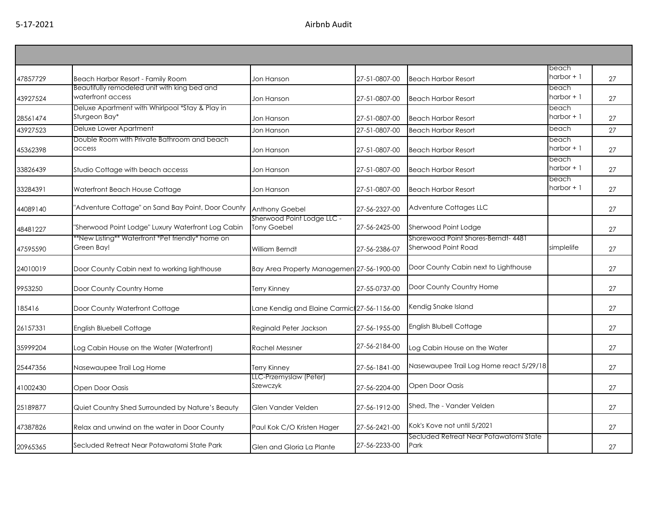|          |                                                                   |                                             |               |                                                | beach                |    |
|----------|-------------------------------------------------------------------|---------------------------------------------|---------------|------------------------------------------------|----------------------|----|
| 47857729 | Beach Harbor Resort - Family Room                                 | Jon Hanson                                  | 27-51-0807-00 | <b>Beach Harbor Resort</b>                     | harbor $+1$          | 27 |
|          | Beautifully remodeled unit with king bed and<br>waterfront access |                                             | 27-51-0807-00 |                                                | beach<br>harbor $+1$ | 27 |
| 43927524 | Deluxe Apartment with Whirlpool *Stay & Play in                   | Jon Hanson                                  |               | <b>Beach Harbor Resort</b>                     | beach                |    |
| 28561474 | Sturgeon Bay*                                                     | Jon Hanson                                  | 27-51-0807-00 | <b>Beach Harbor Resort</b>                     | harbor $+1$          | 27 |
| 43927523 | Deluxe Lower Apartment                                            | Jon Hanson                                  | 27-51-0807-00 | <b>Beach Harbor Resort</b>                     | beach                | 27 |
|          | Double Room with Private Bathroom and beach                       |                                             |               |                                                | beach                |    |
| 45362398 | access                                                            | Jon Hanson                                  | 27-51-0807-00 | <b>Beach Harbor Resort</b>                     | harbor $+1$          | 27 |
| 33826439 | Studio Cottage with beach accesss                                 | Jon Hanson                                  | 27-51-0807-00 | <b>Beach Harbor Resort</b>                     | beach<br>harbor $+1$ | 27 |
|          |                                                                   |                                             |               |                                                | beach                |    |
| 33284391 | Waterfront Beach House Cottage                                    | Jon Hanson                                  | 27-51-0807-00 | <b>Beach Harbor Resort</b>                     | harbor $+1$          | 27 |
| 44089140 | "Adventure Cottage" on Sand Bay Point, Door County                | <b>Anthony Goebel</b>                       | 27-56-2327-00 | Adventure Cottages LLC                         |                      | 27 |
| 48481227 | "Sherwood Point Lodge" Luxury Waterfront Log Cabin                | Sherwood Point Lodge LLC -<br>Tony Goebel   | 27-56-2425-00 | Sherwood Point Lodge                           |                      | 27 |
|          | *New Listing** Waterfront *Pet friendly* home on                  |                                             |               | Shorewood Point Shores-Berndt- 4481            |                      |    |
| 47595590 | Green Bay!                                                        | William Berndt                              | 27-56-2386-07 | Sherwood Point Road                            | simplelife           | 27 |
| 24010019 | Door County Cabin next to working lighthouse                      | Bay Area Property Managemen 27-56-1900-00   |               | Door County Cabin next to Lighthouse           |                      | 27 |
| 9953250  | Door County Country Home                                          | <b>Terry Kinney</b>                         | 27-55-0737-00 | Door County Country Home                       |                      | 27 |
| 185416   | Door County Waterfront Cottage                                    | Lane Kendig and Elaine Carmic 27-56-1156-00 |               | Kendig Snake Island                            |                      | 27 |
| 26157331 | <b>English Bluebell Cottage</b>                                   | Reginald Peter Jackson                      | 27-56-1955-00 | English Blubell Cottage                        |                      | 27 |
| 35999204 | Log Cabin House on the Water (Waterfront)                         | <b>Rachel Messner</b>                       | 27-56-2184-00 | Log Cabin House on the Water                   |                      | 27 |
| 25447356 | Nasewaupee Trail Log Home                                         | Terry Kinney                                | 27-56-1841-00 | Nasewaupee Trail Log Home react 5/29/18        |                      | 27 |
| 41002430 | Open Door Oasis                                                   | LLC-Przemyslaw (Peter)<br>Szewczyk          | 27-56-2204-00 | Open Door Oasis                                |                      | 27 |
|          |                                                                   |                                             |               |                                                |                      |    |
| 25189877 | Quiet Country Shed Surrounded by Nature's Beauty                  | Glen Vander Velden                          | 27-56-1912-00 | Shed, The - Vander Velden                      |                      | 27 |
| 47387826 | Relax and unwind on the water in Door County                      | Paul Kok C/O Kristen Hager                  | 27-56-2421-00 | Kok's Kove not until 5/2021                    |                      | 27 |
| 20965365 | Secluded Retreat Near Potawatomi State Park                       | Glen and Gloria La Plante                   | 27-56-2233-00 | Secluded Retreat Near Potawatomi State<br>Park |                      | 27 |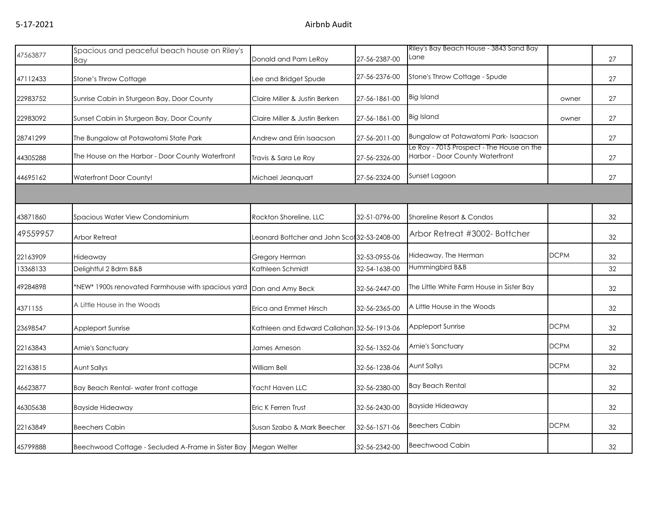## 5-17-2021 Airbnb Audit

| 47563877 | Spacious and peaceful beach house on Riley's                    |                                              |               | Riley's Bay Beach House - 3843 Sand Bay<br>Lane                              |             |    |
|----------|-----------------------------------------------------------------|----------------------------------------------|---------------|------------------------------------------------------------------------------|-------------|----|
|          | Bay                                                             | Donald and Pam LeRoy                         | 27-56-2387-00 |                                                                              |             | 27 |
| 47112433 | <b>Stone's Throw Cottage</b>                                    | Lee and Bridget Spude                        | 27-56-2376-00 | Stone's Throw Cottage - Spude                                                |             | 27 |
| 22983752 | Sunrise Cabin in Sturgeon Bay, Door County                      | Claire Miller & Justin Berken                | 27-56-1861-00 | <b>Big Island</b>                                                            | owner       | 27 |
| 22983092 | Sunset Cabin in Sturgeon Bay, Door County                       | Claire Miller & Justin Berken                | 27-56-1861-00 | <b>Big Island</b>                                                            | owner       | 27 |
| 28741299 | The Bungalow at Potawatomi State Park                           | Andrew and Erin Isaacson                     | 27-56-2011-00 | Bungalow at Potawatomi Park- Isaacson                                        |             | 27 |
| 44305288 | The House on the Harbor - Door County Waterfront                | Travis & Sara Le Roy                         | 27-56-2326-00 | Le Roy - 7015 Prospect - The House on the<br>Harbor - Door County Waterfront |             | 27 |
| 44695162 | <b>Waterfront Door County!</b>                                  | Michael Jeanguart                            | 27-56-2324-00 | Sunset Lagoon                                                                |             | 27 |
|          |                                                                 |                                              |               |                                                                              |             |    |
| 43871860 | Spacious Water View Condominium                                 | Rockton Shoreline, LLC                       | 32-51-0796-00 | Shoreline Resort & Condos                                                    |             | 32 |
| 49559957 | <b>Arbor Retreat</b>                                            | Leonard Bottcher and John Scot 32-53-2408-00 |               | Arbor Retreat #3002- Bottcher                                                |             | 32 |
| 22163909 | Hideaway                                                        | Gregory Herman                               | 32-53-0955-06 | Hideaway, The Herman                                                         | <b>DCPM</b> | 32 |
| 13368133 | Delightful 2 Bdrm B&B                                           | Kathleen Schmidt                             | 32-54-1638-00 | Hummingbird B&B                                                              |             | 32 |
| 49284898 | *NEW* 1900s renovated Farmhouse with spacious yard              | Dan and Amy Beck                             | 32-56-2447-00 | The Little White Farm House in Sister Bay                                    |             | 32 |
| 4371155  | A Little House in the Woods                                     | Erica and Emmet Hirsch                       | 32-56-2365-00 | A Little House in the Woods                                                  |             | 32 |
| 23698547 | Appleport Sunrise                                               | Kathleen and Edward Callahan 32-56-1913-06   |               | Appleport Sunrise                                                            | <b>DCPM</b> | 32 |
| 22163843 | Arnie's Sanctuary                                               | James Arneson                                | 32-56-1352-06 | Arnie's Sanctuary                                                            | <b>DCPM</b> | 32 |
| 22163815 | <b>Aunt Sallys</b>                                              | William Bell                                 | 32-56-1238-06 | <b>Aunt Sallys</b>                                                           | <b>DCPM</b> | 32 |
| 46623877 | Bay Beach Rental-water front cottage                            | Yacht Haven LLC                              | 32-56-2380-00 | <b>Bay Beach Rental</b>                                                      |             | 32 |
| 46305638 | <b>Bayside Hideaway</b>                                         | Eric K Ferren Trust                          | 32-56-2430-00 | <b>Bayside Hideaway</b>                                                      |             | 32 |
| 22163849 | <b>Beechers Cabin</b>                                           | Susan Szabo & Mark Beecher                   | 32-56-1571-06 | <b>Beechers Cabin</b>                                                        | <b>DCPM</b> | 32 |
| 45799888 | Beechwood Cottage - Secluded A-Frame in Sister Bay Megan Welter |                                              | 32-56-2342-00 | <b>Beechwood Cabin</b>                                                       |             | 32 |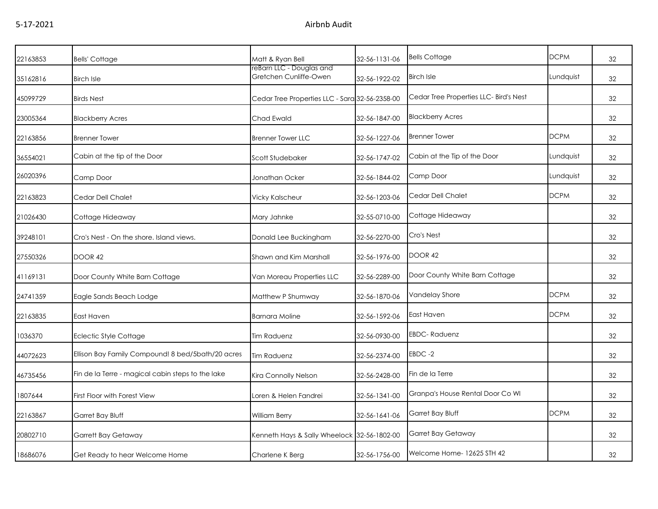| 22163853 | <b>Bells' Cottage</b>                             | Matt & Ryan Bell                                   | 32-56-1131-06 | <b>Bells Cottage</b>                   | <b>DCPM</b> | 32 |
|----------|---------------------------------------------------|----------------------------------------------------|---------------|----------------------------------------|-------------|----|
| 35162816 | <b>Birch Isle</b>                                 | reBarn LLC - Douglas and<br>Gretchen Cunliffe-Owen | 32-56-1922-02 | <b>Birch Isle</b>                      | Lundquist   | 32 |
| 45099729 | <b>Birds Nest</b>                                 | Cedar Tree Properties LLC - Sara 32-56-2358-00     |               | Cedar Tree Properties LLC- Bird's Nest |             | 32 |
| 23005364 | <b>Blackberry Acres</b>                           | Chad Ewald                                         | 32-56-1847-00 | <b>Blackberry Acres</b>                |             | 32 |
| 22163856 | <b>Brenner Tower</b>                              | <b>Brenner Tower LLC</b>                           | 32-56-1227-06 | <b>Brenner Tower</b>                   | <b>DCPM</b> | 32 |
| 36554021 | Cabin at the tip of the Door                      | Scott Studebaker                                   | 32-56-1747-02 | Cabin at the Tip of the Door           | Lundquist   | 32 |
| 26020396 | Camp Door                                         | Jonathan Ocker                                     | 32-56-1844-02 | Camp Door                              | Lundquist   | 32 |
| 22163823 | Cedar Dell Chalet                                 | <b>Vicky Kalscheur</b>                             | 32-56-1203-06 | Cedar Dell Chalet                      | <b>DCPM</b> | 32 |
| 21026430 | Cottage Hideaway                                  | Mary Jahnke                                        | 32-55-0710-00 | Cottage Hideaway                       |             | 32 |
| 39248101 | Cro's Nest - On the shore. Island views.          | Donald Lee Buckingham                              | 32-56-2270-00 | Cro's Nest                             |             | 32 |
| 27550326 | <b>DOOR 42</b>                                    | Shawn and Kim Marshall                             | 32-56-1976-00 | DOOR 42                                |             | 32 |
| 41169131 | Door County White Barn Cottage                    | Van Moreau Properties LLC                          | 32-56-2289-00 | Door County White Barn Cottage         |             | 32 |
| 24741359 | Eagle Sands Beach Lodge                           | Matthew P Shumway                                  | 32-56-1870-06 | Vandelay Shore                         | <b>DCPM</b> | 32 |
| 22163835 | East Haven                                        | <b>Barnara Moline</b>                              | 32-56-1592-06 | East Haven                             | <b>DCPM</b> | 32 |
| 1036370  | <b>Eclectic Style Cottage</b>                     | <b>Tim Raduenz</b>                                 | 32-56-0930-00 | <b>EBDC-Raduenz</b>                    |             | 32 |
| 44072623 | Ellison Bay Family Compound! 8 bed/5bath/20 acres | <b>Tim Raduenz</b>                                 | 32-56-2374-00 | EBDC-2                                 |             | 32 |
| 46735456 | Fin de la Terre - magical cabin steps to the lake | Kira Connolly Nelson                               | 32-56-2428-00 | Fin de la Terre                        |             | 32 |
| 1807644  | First Floor with Forest View                      | Loren & Helen Fandrei                              | 32-56-1341-00 | Granpa's House Rental Door Co WI       |             | 32 |
| 22163867 | Garret Bay Bluff                                  | William Berry                                      | 32-56-1641-06 | Garret Bay Bluff                       | <b>DCPM</b> | 32 |
| 20802710 | Garrett Bay Getaway                               | Kenneth Hays & Sally Wheelock 32-56-1802-00        |               | Garret Bay Getaway                     |             | 32 |
| 18686076 | Get Ready to hear Welcome Home                    | Charlene K Berg                                    | 32-56-1756-00 | Welcome Home-12625 STH 42              |             | 32 |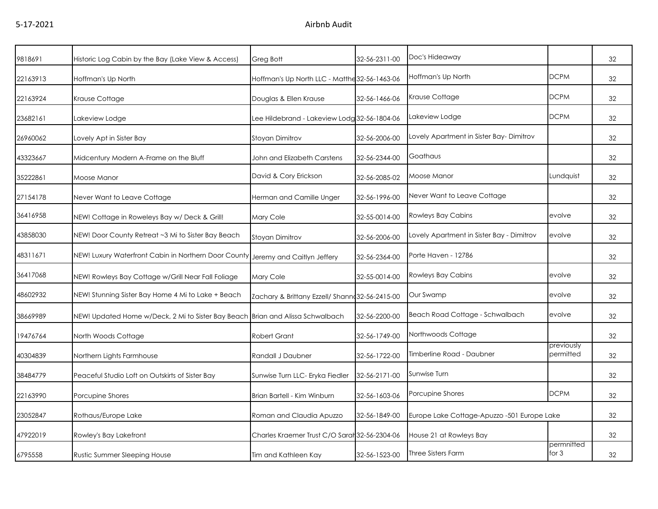| 9818691  | Historic Log Cabin by the Bay (Lake View & Access)                              | Greg Bott                                       | 32-56-2311-00 | Doc's Hideaway                              |                         | 32 |
|----------|---------------------------------------------------------------------------------|-------------------------------------------------|---------------|---------------------------------------------|-------------------------|----|
| 22163913 | Hoffman's Up North                                                              | Hoffman's Up North LLC - Matthe 32-56-1463-06   |               | Hoffman's Up North                          | <b>DCPM</b>             | 32 |
| 22163924 | Krause Cottage                                                                  | Douglas & Ellen Krause                          | 32-56-1466-06 | Krause Cottage                              | <b>DCPM</b>             | 32 |
| 23682161 | Lakeview Lodge                                                                  | Lee Hildebrand - Lakeview Lodg 32-56-1804-06    |               | akeview Lodge                               | <b>DCPM</b>             | 32 |
| 26960062 | Lovely Apt in Sister Bay                                                        | <b>Stoyan Dimitrov</b>                          | 32-56-2006-00 | Lovely Apartment in Sister Bay- Dimitrov    |                         | 32 |
| 43323667 | Midcentury Modern A-Frame on the Bluff                                          | John and Elizabeth Carstens                     | 32-56-2344-00 | Goathaus                                    |                         | 32 |
| 35222861 | Moose Manor                                                                     | David & Cory Erickson                           | 32-56-2085-02 | Moose Manor                                 | Lundquist               | 32 |
| 27154178 | Never Want to Leave Cottage                                                     | Herman and Camille Unger                        | 32-56-1996-00 | Never Want to Leave Cottage                 |                         | 32 |
| 36416958 | NEW! Cottage in Roweleys Bay w/ Deck & Grill!                                   | Mary Cole                                       | 32-55-0014-00 | <b>Rowleys Bay Cabins</b>                   | evolve                  | 32 |
| 43858030 | NEW! Door County Retreat ~3 Mi to Sister Bay Beach                              | Stoyan Dimitrov                                 | 32-56-2006-00 | Lovely Apartment in Sister Bay - Dimitrov   | evolve                  | 32 |
| 48311671 | NEW! Luxury Waterfront Cabin in Northern Door County Jeremy and Caitlyn Jeffery |                                                 | 32-56-2364-00 | Porte Haven - 12786                         |                         | 32 |
| 36417068 | NEW! Rowleys Bay Cottage w/Grill Near Fall Foliage                              | Mary Cole                                       | 32-55-0014-00 | <b>Rowleys Bay Cabins</b>                   | evolve                  | 32 |
| 48602932 | NEW! Stunning Sister Bay Home 4 Mi to Lake + Beach                              | Zachary & Brittany Ezzell/ Shanne 32-56-2415-00 |               | Our Swamp                                   | evolve                  | 32 |
| 38669989 | NEW! Updated Home w/Deck, 2 Mi to Sister Bay Beach Brian and Alissa Schwalbach  |                                                 | 32-56-2200-00 | Beach Road Cottage - Schwalbach             | evolve                  | 32 |
| 19476764 | North Woods Cottage                                                             | <b>Robert Grant</b>                             | 32-56-1749-00 | Northwoods Cottage                          |                         | 32 |
| 40304839 | Northern Lights Farmhouse                                                       | Randall J Daubner                               | 32-56-1722-00 | Timberline Road - Daubner                   | previously<br>permitted | 32 |
| 38484779 | Peaceful Studio Loft on Outskirts of Sister Bay                                 | Sunwise Turn LLC- Eryka Fiedler                 | 32-56-2171-00 | Sunwise Turn                                |                         | 32 |
| 22163990 | Porcupine Shores                                                                | Brian Bartell - Kim Winburn                     | 32-56-1603-06 | Porcupine Shores                            | <b>DCPM</b>             | 32 |
| 23052847 | Rothaus/Europe Lake                                                             | Roman and Claudia Apuzzo                        | 32-56-1849-00 | Europe Lake Cottage-Apuzzo -501 Europe Lake |                         | 32 |
| 47922019 | Rowley's Bay Lakefront                                                          | Charles Kraemer Trust C/O Saral 32-56-2304-06   |               | House 21 at Rowleys Bay                     |                         | 32 |
| 6795558  | Rustic Summer Sleeping House                                                    | Tim and Kathleen Kay                            | 32-56-1523-00 | <b>Three Sisters Farm</b>                   | permnitted<br>for $3$   | 32 |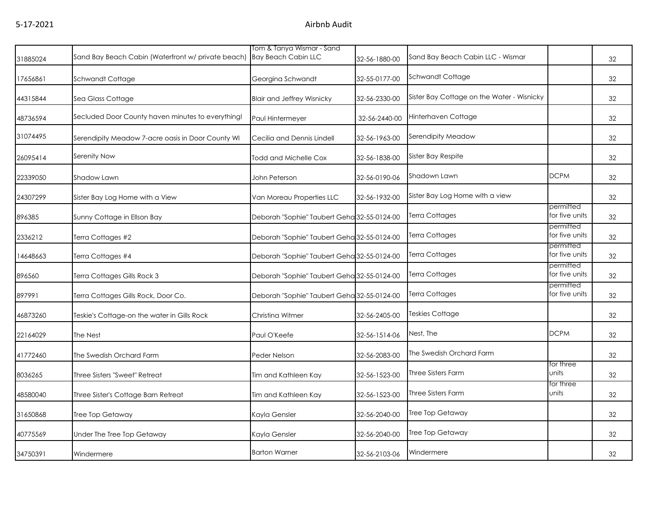|          | Sand Bay Beach Cabin (Waterfront w/ private beach) | Tom & Tanya Wismar - Sand<br><b>Bay Beach Cabin LLC</b> |               | Sand Bay Beach Cabin LLC - Wismar          |                             |    |
|----------|----------------------------------------------------|---------------------------------------------------------|---------------|--------------------------------------------|-----------------------------|----|
| 31885024 |                                                    |                                                         | 32-56-1880-00 |                                            |                             | 32 |
| 17656861 | Schwandt Cottage                                   | Georgina Schwandt                                       | 32-55-0177-00 | Schwandt Cottage                           |                             | 32 |
| 44315844 | Sea Glass Cottage                                  | <b>Blair and Jeffrey Wisnicky</b>                       | 32-56-2330-00 | Sister Bay Cottage on the Water - Wisnicky |                             | 32 |
| 48736594 | Secluded Door County haven minutes to everything!  | Paul Hintermeyer                                        | 32-56-2440-00 | Hinterhaven Cottage                        |                             | 32 |
| 31074495 | Serendipity Meadow 7-acre oasis in Door County WI  | Cecilia and Dennis Lindell                              | 32-56-1963-00 | Serendipity Meadow                         |                             | 32 |
| 26095414 | Serenity Now                                       | Todd and Michelle Cox                                   | 32-56-1838-00 | Sister Bay Respite                         |                             | 32 |
| 22339050 | Shadow Lawn                                        | John Peterson                                           | 32-56-0190-06 | Shadown Lawn                               | <b>DCPM</b>                 | 32 |
| 24307299 | Sister Bay Log Home with a View                    | Van Moreau Properties LLC                               | 32-56-1932-00 | Sister Bay Log Home with a view            |                             | 32 |
| 896385   | Sunny Cottage in Ellson Bay                        | Deborah "Sophie" Taubert Geha 32-55-0124-00             |               | <b>Terra Cottages</b>                      | permitted<br>for five units | 32 |
| 2336212  | Terra Cottages #2                                  | Deborah "Sophie" Taubert Geha 32-55-0124-00             |               | Terra Cottages                             | permitted<br>for five units | 32 |
| 14648663 | Terra Cottages #4                                  | Deborah "Sophie" Taubert Geha 32-55-0124-00             |               | <b>Terra Cottages</b>                      | permitted<br>for five units | 32 |
| 896560   | Terra Cottages Gills Rock 3                        | Deborah "Sophie" Taubert Geha 32-55-0124-00             |               | <b>Terra Cottages</b>                      | permitted<br>for five units | 32 |
| 897991   | Terra Cottages Gills Rock, Door Co.                | Deborah "Sophie" Taubert Geha 32-55-0124-00             |               | <b>Terra Cottages</b>                      | permitted<br>for five units | 32 |
| 46873260 | Teskie's Cottage-on the water in Gills Rock        | Christina Witmer                                        | 32-56-2405-00 | <b>Teskies Cottage</b>                     |                             | 32 |
| 22164029 | The Nest                                           | Paul O'Keefe                                            | 32-56-1514-06 | Nest, The                                  | <b>DCPM</b>                 | 32 |
| 41772460 | The Swedish Orchard Farm                           | Peder Nelson                                            | 32-56-2083-00 | The Swedish Orchard Farm                   |                             | 32 |
| 8036265  | Three Sisters "Sweet" Retreat                      | Tim and Kathleen Kay                                    | 32-56-1523-00 | Three Sisters Farm                         | for three<br>units          | 32 |
| 48580040 | Three Sister's Cottage Barn Retreat                | Tim and Kathleen Kay                                    | 32-56-1523-00 | <b>Three Sisters Farm</b>                  | for three<br>units          | 32 |
| 31650868 | Tree Top Getaway                                   | Kayla Gensler                                           | 32-56-2040-00 | <b>Tree Top Getaway</b>                    |                             | 32 |
| 40775569 | Under The Tree Top Getaway                         | Kayla Gensler                                           | 32-56-2040-00 | <b>Tree Top Getaway</b>                    |                             | 32 |
| 34750391 | Windermere                                         | <b>Barton Warner</b>                                    | 32-56-2103-06 | Windermere                                 |                             | 32 |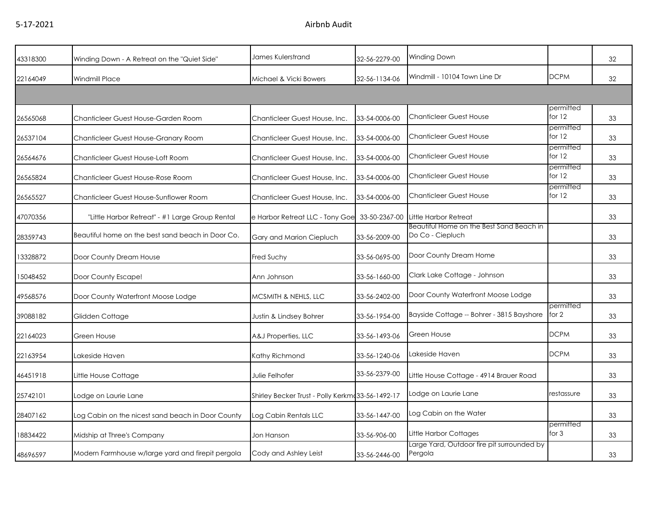|          |                                                   | James Kulerstrand                                |               | Winding Down                                                 |                       |    |
|----------|---------------------------------------------------|--------------------------------------------------|---------------|--------------------------------------------------------------|-----------------------|----|
| 43318300 | Winding Down - A Retreat on the "Quiet Side"      |                                                  | 32-56-2279-00 |                                                              |                       | 32 |
| 22164049 | <b>Windmill Place</b>                             | Michael & Vicki Bowers                           | 32-56-1134-06 | Windmill - 10104 Town Line Dr                                | <b>DCPM</b>           | 32 |
|          |                                                   |                                                  |               |                                                              |                       |    |
| 26565068 | Chanticleer Guest House-Garden Room               | Chanticleer Guest House, Inc.                    | 33-54-0006-00 | <b>Chanticleer Guest House</b>                               | permitted<br>for $12$ | 33 |
| 26537104 | Chanticleer Guest House-Granary Room              | Chanticleer Guest House, Inc.                    | 33-54-0006-00 | Chanticleer Guest House                                      | permitted<br>for $12$ | 33 |
| 26564676 | Chanticleer Guest House-Loft Room                 | Chanticleer Guest House, Inc.                    | 33-54-0006-00 | Chanticleer Guest House                                      | permitted<br>for $12$ | 33 |
| 26565824 | Chanticleer Guest House-Rose Room                 | Chanticleer Guest House, Inc.                    | 33-54-0006-00 | <b>Chanticleer Guest House</b>                               | permitted<br>for $12$ | 33 |
| 26565527 | Chanticleer Guest House-Sunflower Room            | Chanticleer Guest House, Inc.                    | 33-54-0006-00 | <b>Chanticleer Guest House</b>                               | permitted<br>for $12$ | 33 |
| 47070356 | "Little Harbor Retreat" - #1 Large Group Rental   | e Harbor Retreat LLC - Tony Goe 33-50-2367-00    |               | <b>Little Harbor Retreat</b>                                 |                       | 33 |
| 28359743 | Beautiful home on the best sand beach in Door Co. | Gary and Marion Ciepluch                         | 33-56-2009-00 | Beautiful Home on the Best Sand Beach in<br>Do Co - Ciepluch |                       | 33 |
| 13328872 | Door County Dream House                           | Fred Suchy                                       | 33-56-0695-00 | Door County Dream Home                                       |                       | 33 |
| 15048452 | Door County Escape!                               | Ann Johnson                                      | 33-56-1660-00 | Clark Lake Cottage - Johnson                                 |                       | 33 |
| 49568576 | Door County Waterfront Moose Lodge                | MCSMITH & NEHLS, LLC                             | 33-56-2402-00 | Door County Waterfront Moose Lodge                           |                       | 33 |
| 39088182 | Glidden Cottage                                   | Justin & Lindsey Bohrer                          | 33-56-1954-00 | Bayside Cottage -- Bohrer - 3815 Bayshore                    | permitted<br>for 2    | 33 |
| 22164023 | Green House                                       | A&J Properties, LLC                              | 33-56-1493-06 | Green House                                                  | <b>DCPM</b>           | 33 |
| 22163954 | Lakeside Haven                                    | Kathy Richmond                                   | 33-56-1240-06 | Lakeside Haven                                               | <b>DCPM</b>           | 33 |
| 46451918 | Little House Cottage                              | Julie Felhofer                                   | 33-56-2379-00 | Little House Cottage - 4914 Brauer Road                      |                       | 33 |
| 25742101 | Lodge on Laurie Lane                              | Shirley Becker Trust - Polly Kerkmd33-56-1492-17 |               | Lodge on Laurie Lane                                         | restassure            | 33 |
| 28407162 | Log Cabin on the nicest sand beach in Door County | Log Cabin Rentals LLC                            | 33-56-1447-00 | Log Cabin on the Water                                       |                       | 33 |
| 18834422 | Midship at Three's Company                        | Jon Hanson                                       | 33-56-906-00  | Little Harbor Cottages                                       | permitted<br>for $3$  | 33 |
| 48696597 | Modern Farmhouse w/large yard and firepit pergola | Cody and Ashley Leist                            | 33-56-2446-00 | Large Yard, Outdoor fire pit surrounded by<br>Pergola        |                       | 33 |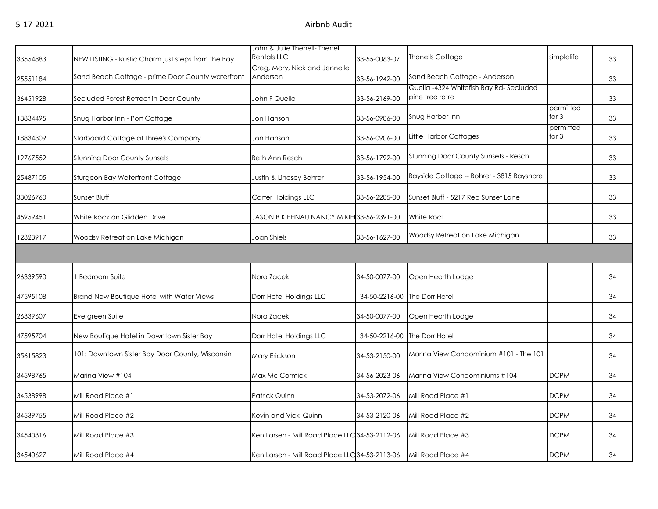| 33554883 | NEW LISTING - Rustic Charm just steps from the Bay | John & Julie Thenell- Thenell<br><b>Rentals LLC</b> | 33-55-0063-07 | Thenells Cottage                            | simplelife           | 33 |
|----------|----------------------------------------------------|-----------------------------------------------------|---------------|---------------------------------------------|----------------------|----|
|          | Sand Beach Cottage - prime Door County waterfront  | Greg, Mary, Nick and Jennelle<br>Anderson           |               | Sand Beach Cottage - Anderson               |                      |    |
| 25551184 |                                                    |                                                     | 33-56-1942-00 | Quella -4324 Whitefish Bay Rd-Secluded      |                      | 33 |
| 36451928 | Secluded Forest Retreat in Door County             | John F Quella                                       | 33-56-2169-00 | pine tree retre                             |                      | 33 |
| 18834495 | Snug Harbor Inn - Port Cottage                     | Jon Hanson                                          | 33-56-0906-00 | Snug Harbor Inn                             | permitted<br>for $3$ | 33 |
| 18834309 | Starboard Cottage at Three's Company               | Jon Hanson                                          | 33-56-0906-00 | Little Harbor Cottages                      | permitted<br>for $3$ | 33 |
| 19767552 | <b>Stunning Door County Sunsets</b>                | <b>Beth Ann Resch</b>                               | 33-56-1792-00 | <b>Stunning Door County Sunsets - Resch</b> |                      | 33 |
| 25487105 | <b>Sturgeon Bay Waterfront Cottage</b>             | Justin & Lindsey Bohrer                             | 33-56-1954-00 | Bayside Cottage -- Bohrer - 3815 Bayshore   |                      | 33 |
| 38026760 | Sunset Bluff                                       | Carter Holdings LLC                                 | 33-56-2205-00 | Sunset Bluff - 5217 Red Sunset Lane         |                      | 33 |
| 45959451 | White Rock on Glidden Drive                        | JASON B KIEHNAU NANCY M KIE 33-56-2391-00           |               | White Rocl                                  |                      | 33 |
| 12323917 | Woodsy Retreat on Lake Michigan                    | Joan Shiels                                         | 33-56-1627-00 | Woodsy Retreat on Lake Michigan             |                      | 33 |
|          |                                                    |                                                     |               |                                             |                      |    |
| 26339590 | <b>Bedroom Suite</b>                               | Nora Zacek                                          | 34-50-0077-00 | Open Hearth Lodge                           |                      | 34 |
| 47595108 | Brand New Boutique Hotel with Water Views          | Dorr Hotel Holdings LLC                             |               | 34-50-2216-00 The Dorr Hotel                |                      | 34 |
| 26339607 | Evergreen Suite                                    | Nora Zacek                                          | 34-50-0077-00 | Open Hearth Lodge                           |                      | 34 |
| 47595704 | New Boutique Hotel in Downtown Sister Bay          | Dorr Hotel Holdings LLC                             | 34-50-2216-00 | The Dorr Hotel                              |                      | 34 |
| 35615823 | 101: Downtown Sister Bay Door County, Wisconsin    | Mary Erickson                                       | 34-53-2150-00 | Marina View Condominium #101 - The 101      |                      | 34 |
| 34598765 | Marina View #104                                   | Max Mc Cormick                                      | 34-56-2023-06 | Marina View Condominiums #104               | <b>DCPM</b>          | 34 |
| 34538998 | Mill Road Place #1                                 | Patrick Quinn                                       | 34-53-2072-06 | Mill Road Place #1                          | <b>DCPM</b>          | 34 |
| 34539755 | Mill Road Place #2                                 | Kevin and Vicki Quinn                               | 34-53-2120-06 | Mill Road Place #2                          | <b>DCPM</b>          | 34 |
| 34540316 | Mill Road Place #3                                 | Ken Larsen - Mill Road Place LLC 34-53-21 12-06     |               | Mill Road Place #3                          | <b>DCPM</b>          | 34 |
| 34540627 | Mill Road Place #4                                 | Ken Larsen - Mill Road Place LLC 34-53-2113-06      |               | Mill Road Place #4                          | <b>DCPM</b>          | 34 |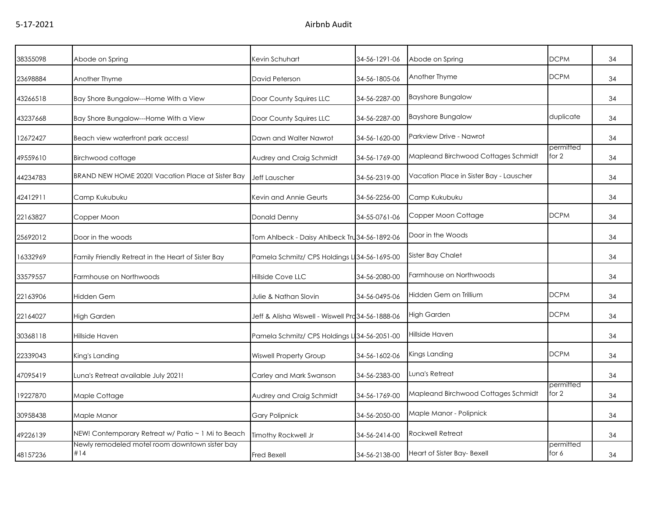| 38355098 | Abode on Spring                                       | Kevin Schuhart                                    | 34-56-1291-06 | Abode on Spring                         | <b>DCPM</b>        | 34 |
|----------|-------------------------------------------------------|---------------------------------------------------|---------------|-----------------------------------------|--------------------|----|
| 23698884 | Another Thyme                                         | David Peterson                                    | 34-56-1805-06 | Another Thyme                           | <b>DCPM</b>        | 34 |
| 43266518 | Bay Shore Bungalow---Home With a View                 | Door County Squires LLC                           | 34-56-2287-00 | <b>Bayshore Bungalow</b>                |                    | 34 |
| 43237668 | Bay Shore Bungalow---Home With a View                 | Door County Squires LLC                           | 34-56-2287-00 | <b>Bayshore Bungalow</b>                | duplicate          | 34 |
| 12672427 | Beach view waterfront park access!                    | Dawn and Walter Nawrot                            | 34-56-1620-00 | Parkview Drive - Nawrot                 |                    | 34 |
| 49559610 | Birchwood cottage                                     | Audrey and Craig Schmidt                          | 34-56-1769-00 | Mapleand Birchwood Cottages Schmidt     | permitted<br>for 2 | 34 |
| 44234783 | BRAND NEW HOME 2020! Vacation Place at Sister Bay     | <b>Jeff Lauscher</b>                              | 34-56-2319-00 | Vacation Place in Sister Bay - Lauscher |                    | 34 |
| 42412911 | Camp Kukubuku                                         | Kevin and Annie Geurts                            | 34-56-2256-00 | Camp Kukubuku                           |                    | 34 |
| 22163827 | Copper Moon                                           | Donald Denny                                      | 34-55-0761-06 | Copper Moon Cottage                     | <b>DCPM</b>        | 34 |
| 25692012 | Door in the woods                                     | Tom Ahlbeck - Daisy Ahlbeck Tru 34-56-1892-06     |               | Door in the Woods                       |                    | 34 |
| 16332969 | Family Friendly Retreat in the Heart of Sister Bay    | Pamela Schmitz/ CPS Holdings L 34-56-1695-00      |               | <b>Sister Bay Chalet</b>                |                    | 34 |
| 33579557 | Farmhouse on Northwoods                               | Hillside Cove LLC                                 | 34-56-2080-00 | Farmhouse on Northwoods                 |                    | 34 |
| 22163906 | <b>Hidden Gem</b>                                     | Julie & Nathan Slovin                             | 34-56-0495-06 | Hidden Gem on Trillium                  | <b>DCPM</b>        | 34 |
| 22164027 | <b>High Garden</b>                                    | Jeff & Alisha Wiswell - Wiswell Pra 34-56-1888-06 |               | High Garden                             | <b>DCPM</b>        | 34 |
| 30368118 | Hillside Haven                                        | Pamela Schmitz/ CPS Holdings L 34-56-2051-00      |               | Hillside Haven                          |                    | 34 |
| 22339043 | King's Landing                                        | <b>Wiswell Property Group</b>                     | 34-56-1602-06 | Kings Landing                           | <b>DCPM</b>        | 34 |
| 47095419 | Luna's Retreat available July 2021!                   | Carley and Mark Swanson                           | 34-56-2383-00 | Luna's Retreat                          |                    | 34 |
| 19227870 | Maple Cottage                                         | Audrey and Craig Schmidt                          | 34-56-1769-00 | Mapleand Birchwood Cottages Schmidt     | permitted<br>for 2 | 34 |
| 30958438 | Maple Manor                                           | <b>Gary Polipnick</b>                             | 34-56-2050-00 | Maple Manor - Polipnick                 |                    | 34 |
| 49226139 | NEW! Contemporary Retreat w/ Patio ~ 1 Mi to Beach    | Timothy Rockwell Jr                               | 34-56-2414-00 | <b>Rockwell Retreat</b>                 |                    | 34 |
| 48157236 | Newly remodeled motel room downtown sister bay<br>#14 | Fred Bexell                                       | 34-56-2138-00 | Heart of Sister Bay- Bexell             | permitted<br>for 6 | 34 |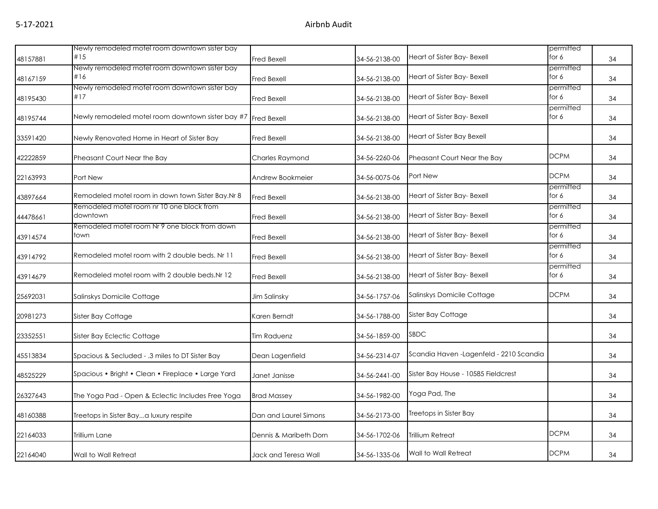| 48157881 | Newly remodeled motel room downtown sister bay<br>#15         | <b>Fred Bexell</b>     | 34-56-2138-00 | Heart of Sister Bay- Bexell              | permitted<br>for 6   | 34 |
|----------|---------------------------------------------------------------|------------------------|---------------|------------------------------------------|----------------------|----|
| 48167159 | Newly remodeled motel room downtown sister bay<br>#16         | <b>Fred Bexell</b>     | 34-56-2138-00 | Heart of Sister Bay- Bexell              | permitted<br>for 6   | 34 |
| 48195430 | Newly remodeled motel room downtown sister bay<br>#17         | <b>Fred Bexell</b>     | 34-56-2138-00 | Heart of Sister Bay- Bexell              | permitted<br>for 6   | 34 |
| 48195744 | Newly remodeled motel room downtown sister bay #7 Fred Bexell |                        | 34-56-2138-00 | Heart of Sister Bay- Bexell              | permitted<br>for 6   | 34 |
| 33591420 | Newly Renovated Home in Heart of Sister Bay                   | <b>Fred Bexell</b>     | 34-56-2138-00 | <b>Heart of Sister Bay Bexell</b>        |                      | 34 |
| 42222859 | Pheasant Court Near the Bay                                   | Charles Raymond        | 34-56-2260-06 | Pheasant Court Near the Bay              | <b>DCPM</b>          | 34 |
| 22163993 | Port New                                                      | Andrew Bookmeier       | 34-56-0075-06 | Port New                                 | <b>DCPM</b>          | 34 |
| 43897664 | Remodeled motel room in down town Sister Bay.Nr 8             | <b>Fred Bexell</b>     | 34-56-2138-00 | Heart of Sister Bay- Bexell              | permitted<br>for $6$ | 34 |
| 44478661 | Remodeled motel room nr 10 one block from<br>downtown         | <b>Fred Bexell</b>     | 34-56-2138-00 | Heart of Sister Bay- Bexell              | permitted<br>for 6   | 34 |
| 43914574 | Remodeled motel room Nr 9 one block from down<br>town         | Fred Bexell            | 34-56-2138-00 | Heart of Sister Bay- Bexell              | permitted<br>for 6   | 34 |
| 43914792 | Remodeled motel room with 2 double beds. Nr 11                | Fred Bexell            | 34-56-2138-00 | Heart of Sister Bay- Bexell              | permitted<br>for 6   | 34 |
| 43914679 | Remodeled motel room with 2 double beds.Nr 12                 | <b>Fred Bexell</b>     | 34-56-2138-00 | Heart of Sister Bay- Bexell              | permitted<br>for 6   | 34 |
| 25692031 | Salinskys Domicile Cottage                                    | Jim Salinsky           | 34-56-1757-06 | Salinskys Domicile Cottage               | <b>DCPM</b>          | 34 |
| 20981273 | Sister Bay Cottage                                            | Karen Berndt           | 34-56-1788-00 | Sister Bay Cottage                       |                      | 34 |
| 23352551 | Sister Bay Eclectic Cottage                                   | Tim Raduenz            | 34-56-1859-00 | <b>SBDC</b>                              |                      | 34 |
| 45513834 | Spacious & Secluded - .3 miles to DT Sister Bay               | Dean Lagenfield        | 34-56-2314-07 | Scandia Haven - Lagenfeld - 2210 Scandia |                      | 34 |
| 48525229 | Spacious • Bright • Clean • Fireplace • Large Yard            | Janet Janisse          | 34-56-2441-00 | Sister Bay House - 10585 Fieldcrest      |                      | 34 |
| 26327643 | The Yoga Pad - Open & Eclectic Includes Free Yoga             | <b>Brad Massey</b>     | 34-56-1982-00 | Yoga Pad, The                            |                      | 34 |
| 48160388 | Treetops in Sister Baya luxury respite                        | Dan and Laurel Simons  | 34-56-2173-00 | Treetops in Sister Bay                   |                      | 34 |
| 22164033 | Trillium Lane                                                 | Dennis & Maribeth Dorn | 34-56-1702-06 | <b>Trillium Retreat</b>                  | <b>DCPM</b>          | 34 |
| 22164040 | Wall to Wall Retreat                                          | Jack and Teresa Wall   | 34-56-1335-06 | Wall to Wall Retreat                     | <b>DCPM</b>          | 34 |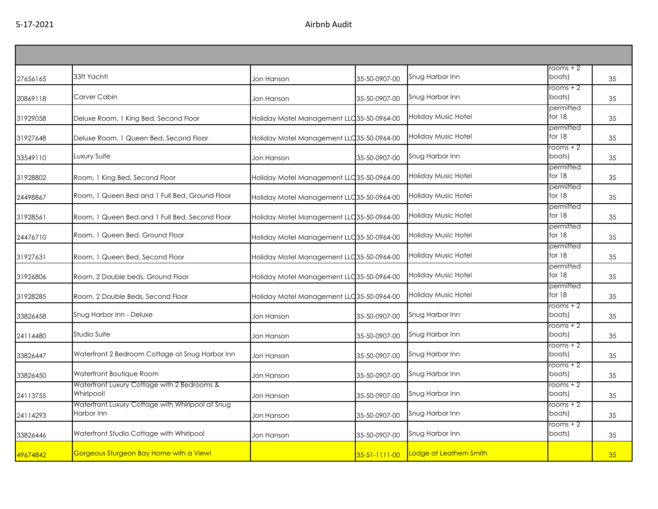| 27656165 | 33ft Yacht!                                                    | Jon Hanson                                 | 35-50-0907-00        | Snug Harbor Inn            | rooms + 2 $\overline{a}$<br>boats) | 35 |
|----------|----------------------------------------------------------------|--------------------------------------------|----------------------|----------------------------|------------------------------------|----|
| 20869118 | Carver Cabin                                                   | Jon Hanson                                 | 35-50-0907-00        | Snug Harbor Inn            | rooms + 2<br>boats)                | 35 |
| 31929058 | Deluxe Room, 1 King Bed, Second Floor                          | Holiday Motel Management LLC 35-50-0964-00 |                      | Holiday Music Hotel        | permitted<br>for 18                | 35 |
| 31927648 | Deluxe Room, 1 Queen Bed, Second Floor                         | Holiday Motel Management LLC 35-50-0964-00 |                      | <b>Holiday Music Hotel</b> | permitted<br>for $18$              | 35 |
| 33549110 | Luxury Suite                                                   | Jon Hanson                                 | 35-50-0907-00        | Snug Harbor Inn            | rooms + 2<br>boats)                | 35 |
| 31928802 | Room, 1 King Bed, Second Floor                                 | Holiday Motel Management LLC 35-50-0964-00 |                      | Holiday Music Hotel        | permitted<br>for $18$              | 35 |
| 24498867 | Room, 1 Queen Bed and 1 Full Bed, Ground Floor                 | Holiday Motel Management LLC35-50-0964-00  |                      | Holiday Music Hotel        | permitted<br>for $18$              | 35 |
| 31928561 | Room, 1 Queen Bed and 1 Full Bed, Second Floor                 | Holiday Motel Management LLC 35-50-0964-00 |                      | Holiday Music Hotel        | permitted<br>for 18                | 35 |
| 24476710 | Room, 1 Queen Bed, Ground Floor                                | Holiday Motel Management LLC 35-50-0964-00 |                      | Holiday Music Hotel        | permitted<br>for 18                | 35 |
| 31927631 | Room, 1 Queen Bed, Second Floor                                | Holiday Motel Management LLC 35-50-0964-00 |                      | Holiday Music Hotel        | permitted<br>for $18$              | 35 |
| 31926806 | Room, 2 Double beds, Ground Floor                              | Holiday Motel Management LLC 35-50-0964-00 |                      | Holiday Music Hotel        | permitted<br>for 18                | 35 |
| 31928285 | Room, 2 Double Beds, Second Floor                              | Holiday Motel Management LLC 35-50-0964-00 |                      | Holiday Music Hotel        | permitted<br>for 18                | 35 |
| 33826458 | Snug Harbor Inn - Deluxe                                       | Jon Hanson                                 | 35-50-0907-00        | Snug Harbor Inn            | rooms + 2<br>boats)                | 35 |
| 24114480 | Studio Suite                                                   | Jon Hanson                                 | 35-50-0907-00        | Snug Harbor Inn            | rooms + 2<br>boats)                | 35 |
| 33826447 | Waterfront 2 Bedroom Cottage at Snug Harbor Inn                | Jon Hanson                                 | 35-50-0907-00        | Snug Harbor Inn            | rooms + 2<br>boats)                | 35 |
| 33826450 | Waterfront Boutique Room                                       | Jon Hanson                                 | 35-50-0907-00        | Snug Harbor Inn            | rooms + 2<br>boats)                | 35 |
| 24113755 | Waterfront Luxury Cottage with 2 Bedrooms &<br>Whirlpool!      | Jon Hanson                                 | 35-50-0907-00        | Snug Harbor Inn            | rooms + 2<br>boats)                | 35 |
| 24114293 | Waterfront Luxury Cottage with Whirlpool at Snug<br>Harbor Inn | Jon Hanson                                 | 35-50-0907-00        | Snug Harbor Inn            | rooms + 2<br>boats)                | 35 |
| 33826446 | Waterfront Studio Cottage with Whirlpool                       | Jon Hanson                                 | 35-50-0907-00        | Snug Harbor Inn            | $rooms + 2$<br>boats)              | 35 |
| 49674842 | Gorgeous Sturgeon Bay Home with a View!                        |                                            | $35 - 51 - 111 - 00$ | Lodge at Leathem Smith     |                                    | 35 |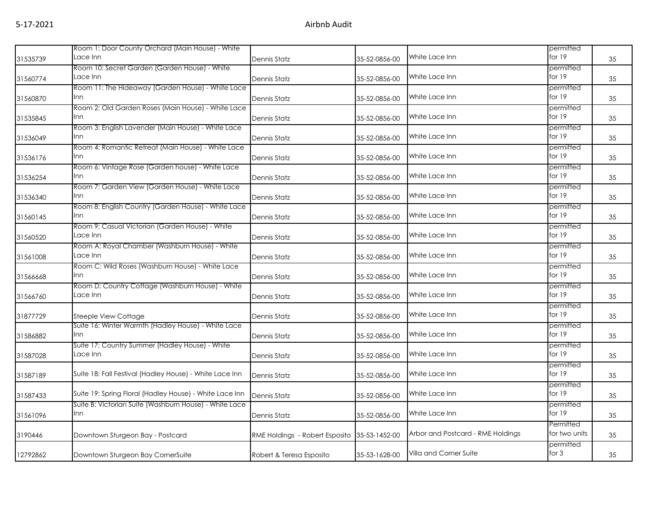|          | Room 1: Door County Orchard (Main House) - White                 |                                |               |                                   | permitted                  |    |
|----------|------------------------------------------------------------------|--------------------------------|---------------|-----------------------------------|----------------------------|----|
| 31535739 | Lace Inn                                                         | Dennis Statz                   | 35-52-0856-00 | White Lace Inn                    | for $19$                   | 35 |
| 31560774 | Room 10: Secret Garden (Garden House) - White<br>Lace Inn        | Dennis Statz                   | 35-52-0856-00 | White Lace Inn                    | permitted<br>for $19$      | 35 |
| 31560870 | Room 11: The Hideaway (Garden House) - White Lace<br>Inn         | Dennis Statz                   | 35-52-0856-00 | White Lace Inn                    | permitted<br>for 19        | 35 |
| 31535845 | Room 2: Old Garden Roses (Main House) - White Lace<br>Inn        | Dennis Statz                   | 35-52-0856-00 | White Lace Inn                    | permitted<br>for $19$      | 35 |
| 31536049 | Room 3: English Lavender (Main House) - White Lace<br>Inn        | Dennis Statz                   | 35-52-0856-00 | White Lace Inn                    | permitted<br>for 19        | 35 |
| 31536176 | Room 4: Romantic Retreat (Main House) - White Lace<br><b>Inn</b> | Dennis Statz                   | 35-52-0856-00 | White Lace Inn                    | permitted<br>for $19$      | 35 |
| 31536254 | Room 6: Vintage Rose (Garden house) - White Lace<br>lnn.         | Dennis Statz                   | 35-52-0856-00 | White Lace Inn                    | permitted<br>for 19        | 35 |
| 31536340 | Room 7: Garden View (Garden House) - White Lace<br>Inn           | Dennis Statz                   | 35-52-0856-00 | White Lace Inn                    | permitted<br>for $19$      | 35 |
| 31560145 | Room 8: English Country (Garden House) - White Lace<br>Inn       | Dennis Statz                   | 35-52-0856-00 | White Lace Inn                    | permitted<br>for $19$      | 35 |
| 31560520 | Room 9: Casual Victorian (Garden House) - White<br>Lace Inn      | Dennis Statz                   | 35-52-0856-00 | White Lace Inn                    | permitted<br>for $19$      | 35 |
| 31561008 | Room A: Royal Chamber (Washburn House) - White<br>Lace Inn       | Dennis Statz                   | 35-52-0856-00 | White Lace Inn                    | permitted<br>for 19        | 35 |
| 31566668 | Room C: Wild Roses (Washburn House) - White Lace<br>Inn          | Dennis Statz                   | 35-52-0856-00 | White Lace Inn                    | permitted<br>for 19        | 35 |
| 31566760 | Room D: Country Cottage (Washburn House) - White<br>Lace Inn     | Dennis Statz                   | 35-52-0856-00 | White Lace Inn                    | permitted<br>for 19        | 35 |
| 31877729 | Steeple View Cottage                                             | Dennis Statz                   | 35-52-0856-00 | White Lace Inn                    | permitted<br>for $19$      | 35 |
| 31586882 | Suite 16: Winter Warmth (Hadley House) - White Lace<br>Inn       | Dennis Statz                   | 35-52-0856-00 | White Lace Inn                    | permitted<br>for $19$      | 35 |
| 31587028 | Suite 17: Country Summer (Hadley House) - White<br>Lace Inn      | Dennis Statz                   | 35-52-0856-00 | White Lace Inn                    | permitted<br>for $19$      | 35 |
| 31587189 | Suite 18: Fall Festival (Hadley House) - White Lace Inn          | Dennis Statz                   | 35-52-0856-00 | White Lace Inn                    | permitted<br>for $19$      | 35 |
| 31587433 | Suite 19: Spring Floral (Hadley House) - White Lace Inn          | Dennis Statz                   | 35-52-0856-00 | White Lace Inn                    | permitted<br>for $19$      | 35 |
| 31561096 | Suite B: Victorian Suite (Washburn House) - White Lace<br>Inn    | Dennis Statz                   | 35-52-0856-00 | White Lace Inn                    | permitted<br>for $19$      | 35 |
| 3190446  | Downtown Sturgeon Bay - Postcard                                 | RME Holdings - Robert Esposito | 35-53-1452-00 | Arbor and Postcard - RME Holdings | Permitted<br>for two units | 35 |
| 12792862 | Downtown Sturgeon Bay CornerSuite                                | Robert & Teresa Esposito       | 35-53-1628-00 | Villa and Corner Suite            | permitted<br>for $3$       | 35 |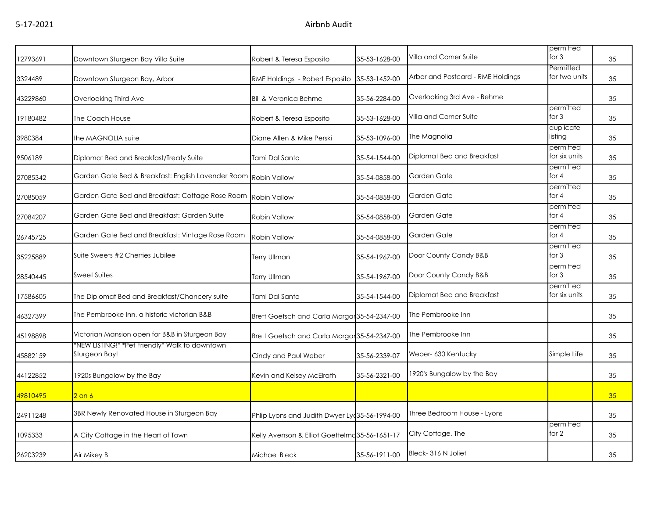|          |                                                                 |                                                |               |                                   | permitted                  |    |
|----------|-----------------------------------------------------------------|------------------------------------------------|---------------|-----------------------------------|----------------------------|----|
| 12793691 | Downtown Sturgeon Bay Villa Suite                               | Robert & Teresa Esposito                       | 35-53-1628-00 | Villa and Corner Suite            | for $3$                    | 35 |
| 3324489  | Downtown Sturgeon Bay, Arbor                                    | RME Holdings - Robert Esposito                 | 35-53-1452-00 | Arbor and Postcard - RME Holdings | Permitted<br>for two units | 35 |
| 43229860 | Overlooking Third Ave                                           | <b>Bill &amp; Veronica Behme</b>               | 35-56-2284-00 | Overlooking 3rd Ave - Behme       |                            | 35 |
| 19180482 | The Coach House                                                 | Robert & Teresa Esposito                       | 35-53-1628-00 | Villa and Corner Suite            | permitted<br>for $3$       | 35 |
| 3980384  | the MAGNOLIA suite                                              | Diane Allen & Mike Perski                      | 35-53-1096-00 | The Magnolia                      | duplicate<br>listing       | 35 |
| 9506189  | Diplomat Bed and Breakfast/Treaty Suite                         | Tami Dal Santo                                 | 35-54-1544-00 | Diplomat Bed and Breakfast        | permitted<br>for six units | 35 |
| 27085342 | Garden Gate Bed & Breakfast: English Lavender Room Robin Vallow |                                                | 35-54-0858-00 | Garden Gate                       | permitted<br>for $4$       | 35 |
| 27085059 | Garden Gate Bed and Breakfast: Cottage Rose Room                | <b>Robin Vallow</b>                            | 35-54-0858-00 | Garden Gate                       | permitted<br>for 4         | 35 |
| 27084207 | Garden Gate Bed and Breakfast: Garden Suite                     | Robin Vallow                                   | 35-54-0858-00 | Garden Gate                       | permitted<br>for 4         | 35 |
| 26745725 | Garden Gate Bed and Breakfast: Vintage Rose Room                | Robin Vallow                                   | 35-54-0858-00 | Garden Gate                       | permitted<br>for 4         | 35 |
| 35225889 | Suite Sweets #2 Cherries Jubilee                                | Terry Ullman                                   | 35-54-1967-00 | Door County Candy B&B             | permitted<br>for $3$       | 35 |
| 28540445 | <b>Sweet Suites</b>                                             | Terry Ullman                                   | 35-54-1967-00 | Door County Candy B&B             | permitted<br>for $3$       | 35 |
| 17586605 | The Diplomat Bed and Breakfast/Chancery suite                   | Tami Dal Santo                                 | 35-54-1544-00 | Diplomat Bed and Breakfast        | permitted<br>for six units | 35 |
| 46327399 | The Pembrooke Inn, a historic victorian B&B                     | Brett Goetsch and Carla Morga 35-54-2347-00    |               | The Pembrooke Inn                 |                            | 35 |
| 45198898 | Victorian Mansion open for B&B in Sturgeon Bay                  | Brett Goetsch and Carla Morga 35-54-2347-00    |               | The Pembrooke Inn                 |                            | 35 |
| 45882159 | *NEW LISTING!* *Pet Friendly* Walk to downtown<br>Sturgeon Bay! | Cindy and Paul Weber                           | 35-56-2339-07 | Weber- 630 Kentucky               | Simple Life                | 35 |
| 44122852 | 1920s Bungalow by the Bay                                       | Kevin and Kelsey McElrath                      | 35-56-2321-00 | 1920's Bungalow by the Bay        |                            | 35 |
| 49810495 | $2$ on $6$                                                      |                                                |               |                                   |                            | 35 |
| 24911248 | 3BR Newly Renovated House in Sturgeon Bay                       | Phlip Lyons and Judith Dwyer Ly 35-56-1994-00  |               | Three Bedroom House - Lyons       |                            | 35 |
| 1095333  | A City Cottage in the Heart of Town                             | Kelly Avenson & Elliot Goettelma 35-56-1651-17 |               | City Cottage, The                 | permitted<br>for 2         | 35 |
| 26203239 | Air Mikey B                                                     | Michael Bleck                                  | 35-56-1911-00 | Bleck-316 N Joliet                |                            | 35 |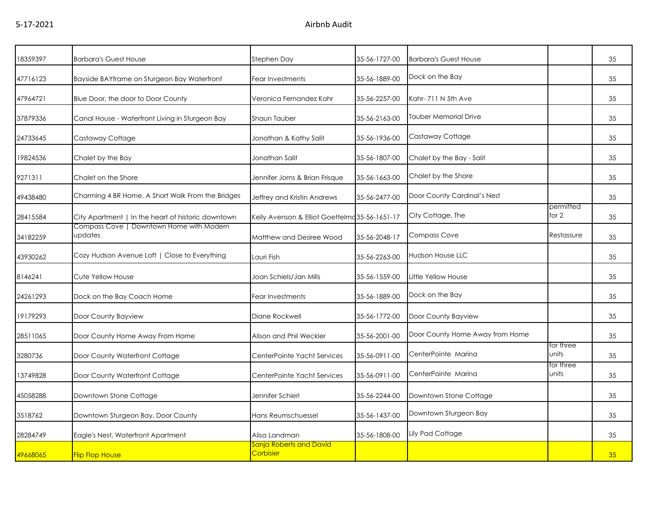| 18359397 | <b>Barbara's Guest House</b>                        | Stephen Day                                    | 35-56-1727-00 | <b>Barbara's Guest House</b>    |                    | 35 |
|----------|-----------------------------------------------------|------------------------------------------------|---------------|---------------------------------|--------------------|----|
| 47716123 | Bayside BAYframe on Sturgeon Bay Waterfront         | Fear Investments                               | 35-56-1889-00 | Dock on the Bay                 |                    | 35 |
| 47964721 | Blue Door, the door to Door County                  | Veronica Fernandez Kahr                        | 35-56-2257-00 | Kahr-711 N 5th Ave              |                    | 35 |
| 37879336 | Canal House - Waterfront Living in Sturgeon Bay     | Shaun Tauber                                   | 35-56-2163-00 | Tauber Memorial Drive           |                    | 35 |
| 24733645 | Castaway Cottage                                    | Jonathan & Kathy Salit                         | 35-56-1936-00 | Castaway Cottage                |                    | 35 |
| 19824536 | Chalet by the Bay                                   | Jonathan Salit                                 | 35-56-1807-00 | Chalet by the Bay - Salit       |                    | 35 |
| 9271311  | Chalet on the Shore                                 | Jennifer Jorns & Brian Frisque                 | 35-56-1663-00 | Chalet by the Shore             |                    | 35 |
| 49438480 | Charming 4 BR Home, A Short Walk From the Bridges   | Jeffrey and Kristin Andrews                    | 35-56-2477-00 | Door County Cardinal's Nest     |                    | 35 |
| 28415584 | City Apartment   In the heart of historic downtown  | Kelly Avenson & Elliot Goettelmo 35-56-1651-17 |               | City Cottage, The               | permitted<br>for 2 | 35 |
| 34182259 | Compass Cove   Downtown Home with Modern<br>updates | Matthew and Desiree Wood                       | 35-56-2048-17 | Compass Cove                    | Restassure         | 35 |
| 43930262 | Cozy Hudson Avenue Loft   Close to Everything       | Lauri Fish                                     | 35-56-2263-00 | <b>Hudson House LLC</b>         |                    | 35 |
| 8146241  | Cute Yellow House                                   | Joan Schiels/Jan Mills                         | 35-56-1559-00 | Little Yellow House             |                    | 35 |
| 24261293 | Dock on the Bay Coach Home                          | Fear Investments                               | 35-56-1889-00 | Dock on the Bay                 |                    | 35 |
| 19179293 | Door County Bayview                                 | Diane Rockwell                                 | 35-56-1772-00 | Door County Bayview             |                    | 35 |
| 28511065 | Door County Home Away From Home                     | Alison and Phil Weckler                        | 35-56-2001-00 | Door County Home Away from Home |                    | 35 |
| 3280736  | Door County Waterfront Cottage                      | CenterPointe Yacht Services                    | 35-56-0911-00 | CenterPointe Marina             | for three<br>units | 35 |
| 13749828 | Door County Waterfront Cottage                      | CenterPointe Yacht Services                    | 35-56-0911-00 | CenterPointe Marina             | for three<br>units | 35 |
| 45058288 | Downtown Stone Cottage                              | Jennifer Schierl                               | 35-56-2244-00 | Downtown Stone Cottage          |                    | 35 |
| 3518762  | Downtown Sturgeon Bay, Door County                  | Hans Reumschuessel                             | 35-56-1437-00 | Downtown Sturgeon Bay           |                    | 35 |
| 28284749 | Eagle's Nest, Waterfront Apartment                  | Alisa Landman                                  | 35-56-1808-00 | Lily Pad Cottage                |                    | 35 |
| 49668065 | <b>Flip Flop House</b>                              | Sanja Roberts and David<br>Corbisier           |               |                                 |                    | 35 |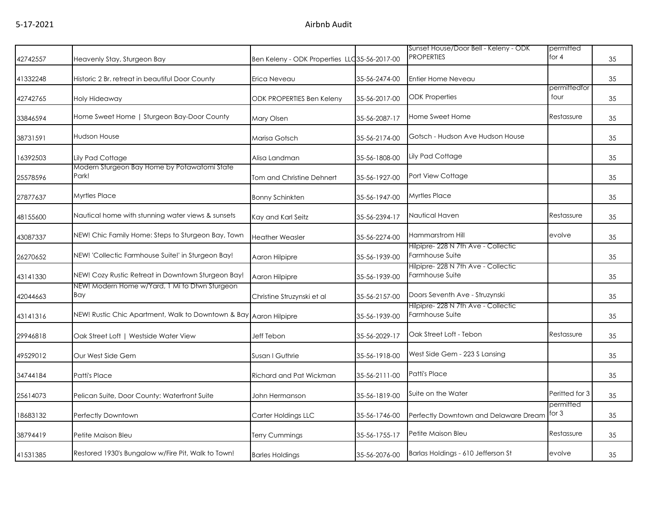| 42742557 | Heavenly Stay, Sturgeon Bay                                       | Ben Keleny - ODK Properties LLC 35-56-2017-00 |               | Sunset House/Door Bell - Keleny - ODK<br><b>PROPERTIES</b> | permitted<br>for $4$ | 35 |
|----------|-------------------------------------------------------------------|-----------------------------------------------|---------------|------------------------------------------------------------|----------------------|----|
| 41332248 | Historic 2 Br. retreat in beautiful Door County                   | Erica Neveau                                  | 35-56-2474-00 | Entier Home Neveau                                         |                      | 35 |
| 42742765 | Holy Hideaway                                                     | <b>ODK PROPERTIES Ben Keleny</b>              | 35-56-2017-00 | <b>ODK Properties</b>                                      | permittedfor<br>four | 35 |
| 33846594 | Home Sweet Home   Sturgeon Bay-Door County                        | Mary Olsen                                    | 35-56-2087-17 | Home Sweet Home                                            | Restassure           | 35 |
| 38731591 | Hudson House                                                      | Marisa Gotsch                                 | 35-56-2174-00 | Gotsch - Hudson Ave Hudson House                           |                      | 35 |
| 16392503 | Lily Pad Cottage                                                  | Alisa Landman                                 | 35-56-1808-00 | Lily Pad Cottage                                           |                      | 35 |
| 25578596 | Modern Sturgeon Bay Home by Potawatomi State<br>Park!             | <b>Tom and Christine Dehnert</b>              | 35-56-1927-00 | Port View Cottage                                          |                      | 35 |
| 27877637 | <b>Myrtles Place</b>                                              | <b>Bonny Schinkten</b>                        | 35-56-1947-00 | Myrtles Place                                              |                      | 35 |
| 48155600 | Nautical home with stunning water views & sunsets                 | Kay and Karl Seitz                            | 35-56-2394-17 | Nautical Haven                                             | Restassure           | 35 |
| 43087337 | NEW! Chic Family Home: Steps to Sturgeon Bay, Town                | <b>Heather Weasler</b>                        | 35-56-2274-00 | Hammarstrom Hill                                           | evolve               | 35 |
| 26270652 | NEW! 'Collectic Farmhouse Suite!' in Sturgeon Bay!                | Aaron Hilpipre                                | 35-56-1939-00 | Hilpipre- 228 N 7th Ave - Collectic<br>Farmhouse Suite     |                      | 35 |
| 43141330 | NEW! Cozy Rustic Retreat in Downtown Sturgeon Bay!                | Aaron Hilpipre                                | 35-56-1939-00 | Hilpipre- 228 N 7th Ave - Collectic<br>Farmhouse Suite     |                      | 35 |
| 42044663 | NEW! Modern Home w/Yard, 1 Mi to Dtwn Sturgeon<br>Bay             | Christine Struzynski et al                    | 35-56-2157-00 | Doors Seventh Ave - Struzynski                             |                      | 35 |
| 43141316 | NEW! Rustic Chic Apartment, Walk to Downtown & Bay Aaron Hilpipre |                                               | 35-56-1939-00 | Hilpipre- 228 N 7th Ave - Collectic<br>Farmhouse Suite     |                      | 35 |
| 29946818 | Oak Street Loft   Westside Water View                             | Jeff Tebon                                    | 35-56-2029-17 | Oak Street Loft - Tebon                                    | Restassure           | 35 |
| 49529012 | Our West Side Gem                                                 | Susan I Guthrie                               | 35-56-1918-00 | West Side Gem - 223 S Lansing                              |                      | 35 |
| 34744184 | <b>Patti's Place</b>                                              | Richard and Pat Wickman                       | 35-56-2111-00 | Patti's Place                                              |                      | 35 |
| 25614073 | Pelican Suite, Door County: Waterfront Suite                      | John Hermanson                                | 35-56-1819-00 | Suite on the Water                                         | Peritted for 3       | 35 |
| 18683132 | Perfectly Downtown                                                | Carter Holdings LLC                           | 35-56-1746-00 | Perfectly Downtown and Delaware Dream                      | permitted<br>for $3$ | 35 |
| 38794419 | Petite Maison Bleu                                                | <b>Terry Cummings</b>                         | 35-56-1755-17 | Petite Maison Bleu                                         | Restassure           | 35 |
| 41531385 | Restored 1930's Bungalow w/Fire Pit, Walk to Town!                | <b>Barles Holdings</b>                        | 35-56-2076-00 | Barlas Holdings - 610 Jefferson St                         | evolve               | 35 |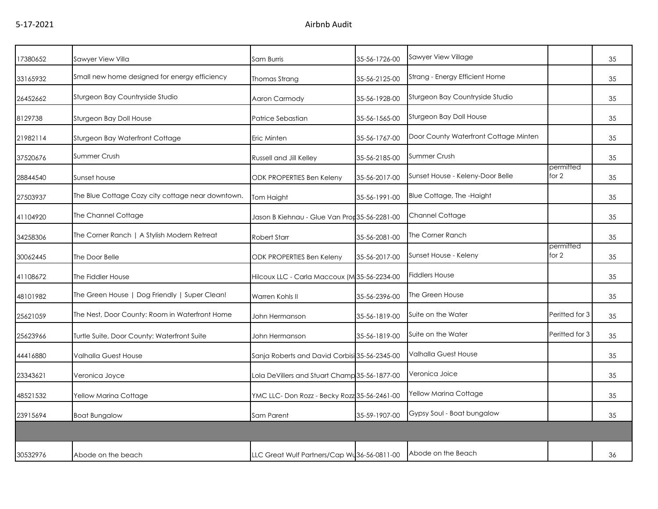| 17380652 | Sawyer View Villa                                 | Sam Burris                                    | 35-56-1726-00 | Sawyer View Village                   |                    | 35 |
|----------|---------------------------------------------------|-----------------------------------------------|---------------|---------------------------------------|--------------------|----|
| 33165932 | Small new home designed for energy efficiency     | Thomas Strang                                 | 35-56-2125-00 | Strang - Energy Efficient Home        |                    | 35 |
| 26452662 | Sturgeon Bay Countryside Studio                   | Aaron Carmody                                 | 35-56-1928-00 | Sturgeon Bay Countryside Studio       |                    | 35 |
| 8129738  | Sturgeon Bay Doll House                           | Patrice Sebastian                             | 35-56-1565-00 | Sturgeon Bay Doll House               |                    | 35 |
| 21982114 | Sturgeon Bay Waterfront Cottage                   | Eric Minten                                   | 35-56-1767-00 | Door County Waterfront Cottage Minten |                    | 35 |
| 37520676 | Summer Crush                                      | Russell and Jill Kelley                       | 35-56-2185-00 | <b>Summer Crush</b>                   |                    | 35 |
| 28844540 | Sunset house                                      | <b>ODK PROPERTIES Ben Keleny</b>              | 35-56-2017-00 | Sunset House - Keleny-Door Belle      | permitted<br>for 2 | 35 |
| 27503937 | The Blue Cottage Cozy city cottage near downtown. | Tom Haight                                    | 35-56-1991-00 | Blue Cottage, The -Haight             |                    | 35 |
| 41104920 | The Channel Cottage                               | Jason B Kiehnau - Glue Van Pror 35-56-2281-00 |               | Channel Cottage                       |                    | 35 |
| 34258306 | The Corner Ranch   A Stylish Modern Retreat       | Robert Starr                                  | 35-56-2081-00 | The Corner Ranch                      |                    | 35 |
| 30062445 | The Door Belle                                    | ODK PROPERTIES Ben Keleny                     | 35-56-2017-00 | Sunset House - Keleny                 | permitted<br>for 2 | 35 |
| 41108672 | The Fiddler House                                 | Hilcoux LLC - Carla Maccoux (M35-56-2234-00   |               | <b>Fiddlers House</b>                 |                    | 35 |
| 48101982 | The Green House   Dog Friendly   Super Clean!     | Warren Kohls II                               | 35-56-2396-00 | The Green House                       |                    | 35 |
| 25621059 | The Nest, Door County: Room in Waterfront Home    | John Hermanson                                | 35-56-1819-00 | Suite on the Water                    | Periffed for 3     | 35 |
| 25623966 | Turtle Suite, Door County: Waterfront Suite       | John Hermanson                                | 35-56-1819-00 | Suite on the Water                    | Peritted for 3     | 35 |
| 44416880 | Valhalla Guest House                              | Sanja Roberts and David Corbisi 35-56-2345-00 |               | Valhalla Guest House                  |                    | 35 |
| 23343621 | Veronica Joyce                                    | Lola DeVillers and Stuart Champ 35-56-1877-00 |               | Veronica Joice                        |                    | 35 |
| 48521532 | Yellow Marina Cottage                             | YMC LLC-Don Rozz - Becky Rozz 35-56-2461-00   |               | Yellow Marina Cottage                 |                    | 35 |
| 23915694 | <b>Boat Bungalow</b>                              | Sam Parent                                    | 35-59-1907-00 | Gypsy Soul - Boat bungalow            |                    | 35 |
|          |                                                   |                                               |               |                                       |                    |    |
| 30532976 | Abode on the beach                                | LLC Great Wulf Partners/Cap Wu 36-56-0811-00  |               | Abode on the Beach                    |                    | 36 |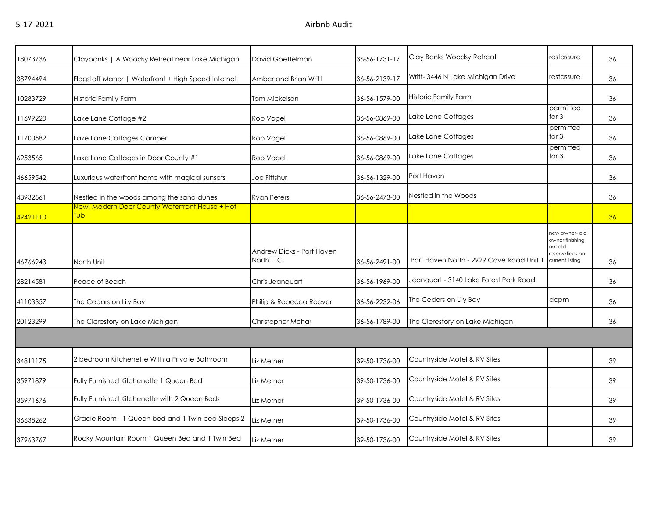| 18073736 | Claybanks   A Woodsy Retreat near Lake Michigan       | David Goettelman                       | 36-56-1731-17 | Clay Banks Woodsy Retreat                | restassure                                                                         | 36 |
|----------|-------------------------------------------------------|----------------------------------------|---------------|------------------------------------------|------------------------------------------------------------------------------------|----|
| 38794494 | Flagstaff Manor   Waterfront + High Speed Internet    | Amber and Brian Writt                  | 36-56-2139-17 | Writt- 3446 N Lake Michigan Drive        | restassure                                                                         | 36 |
| 10283729 | Historic Family Farm                                  | Tom Mickelson                          | 36-56-1579-00 | Historic Family Farm                     |                                                                                    | 36 |
| 11699220 | Lake Lane Cottage #2                                  | Rob Vogel                              | 36-56-0869-00 | Lake Lane Cottages                       | permitted<br>for $3$                                                               | 36 |
| 11700582 | Lake Lane Cottages Camper                             | Rob Vogel                              | 36-56-0869-00 | Lake Lane Cottages                       | permitted<br>for 3                                                                 | 36 |
| 6253565  | Lake Lane Cottages in Door County #1                  | Rob Vogel                              | 36-56-0869-00 | Lake Lane Cottages                       | permitted<br>for $3$                                                               | 36 |
| 46659542 | Luxurious waterfront home with magical sunsets        | <b>Joe Fittshur</b>                    | 36-56-1329-00 | Port Haven                               |                                                                                    | 36 |
| 48932561 | Nestled in the woods among the sand dunes             | <b>Ryan Peters</b>                     | 36-56-2473-00 | Nestled in the Woods                     |                                                                                    | 36 |
| 49421110 | New! Modern Door County Waterfront House + Hot<br>Tub |                                        |               |                                          |                                                                                    | 36 |
| 46766943 | North Unit                                            | Andrew Dicks - Port Haven<br>North LLC | 36-56-2491-00 | Port Haven North - 2929 Cove Road Unit 1 | hew owner- old<br>owner finishing<br>blo tuo<br>reservations on<br>current listing | 36 |
| 28214581 | Peace of Beach                                        | Chris Jeanquart                        | 36-56-1969-00 | Jeanquart - 3140 Lake Forest Park Road   |                                                                                    | 36 |
| 41103357 | The Cedars on Lily Bay                                | Philip & Rebecca Roever                | 36-56-2232-06 | The Cedars on Lily Bay                   | dcpm                                                                               | 36 |
| 20123299 | The Clerestory on Lake Michigan                       | Christopher Mohar                      | 36-56-1789-00 | The Clerestory on Lake Michigan          |                                                                                    | 36 |
|          |                                                       |                                        |               |                                          |                                                                                    |    |
| 34811175 | 2 bedroom Kitchenette With a Private Bathroom         | Liz Merner                             | 39-50-1736-00 | Countryside Motel & RV Sites             |                                                                                    | 39 |
| 35971879 | Fully Furnished Kitchenette 1 Queen Bed               | Liz Merner                             | 39-50-1736-00 | Countryside Motel & RV Sites             |                                                                                    | 39 |
| 35971676 | Fully Furnished Kitchenette with 2 Queen Beds         | Liz Merner                             | 39-50-1736-00 | Countryside Motel & RV Sites             |                                                                                    | 39 |
| 36638262 | Gracie Room - 1 Queen bed and 1 Twin bed Sleeps 2     | Liz Merner                             | 39-50-1736-00 | Countryside Motel & RV Sites             |                                                                                    | 39 |
| 37963767 | Rocky Mountain Room 1 Queen Bed and 1 Twin Bed        | Liz Merner                             | 39-50-1736-00 | Countryside Motel & RV Sites             |                                                                                    | 39 |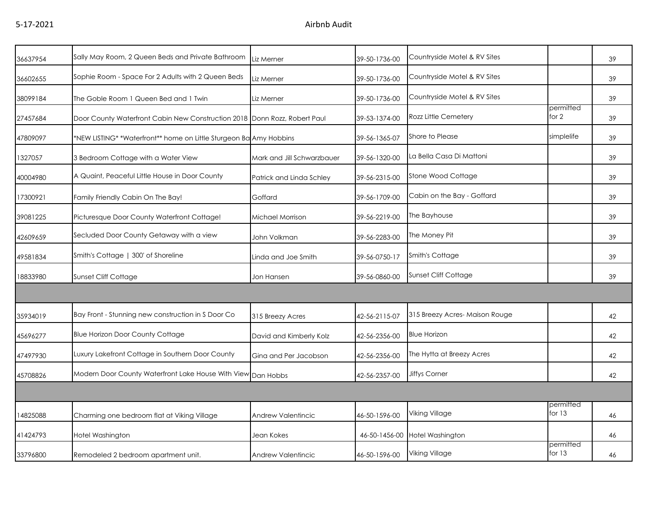| 36637954 | Sally May Room, 2 Queen Beds and Private Bathroom                         | Liz Merner                 | 39-50-1736-00 | Countryside Motel & RV Sites  |                       | 39 |
|----------|---------------------------------------------------------------------------|----------------------------|---------------|-------------------------------|-----------------------|----|
| 36602655 | Sophie Room - Space For 2 Adults with 2 Queen Beds                        | Liz Merner                 | 39-50-1736-00 | Countryside Motel & RV Sites  |                       | 39 |
| 38099184 | The Goble Room 1 Queen Bed and 1 Twin                                     | Liz Merner                 | 39-50-1736-00 | Countryside Motel & RV Sites  |                       | 39 |
| 27457684 | Door County Waterfront Cabin New Construction 2018 Donn Rozz, Robert Paul |                            | 39-53-1374-00 | <b>Rozz Little Cemetery</b>   | permitted<br>for 2    | 39 |
| 47809097 | *NEW LISTING* *Waterfront** home on Little Sturgeon Ba Amy Hobbins        |                            | 39-56-1365-07 | Shore to Please               | simplelife            | 39 |
| 1327057  | 3 Bedroom Cottage with a Water View                                       | Mark and Jill Schwarzbauer | 39-56-1320-00 | La Bella Casa Di Mattoni      |                       | 39 |
| 40004980 | A Quaint, Peaceful Little House in Door County                            | Patrick and Linda Schley   | 39-56-2315-00 | Stone Wood Cottage            |                       | 39 |
| 17300921 | Family Friendly Cabin On The Bay!                                         | Goffard                    | 39-56-1709-00 | Cabin on the Bay - Goffard    |                       | 39 |
| 39081225 | Picturesque Door County Waterfront Cottage!                               | Michael Morrison           | 39-56-2219-00 | The Bayhouse                  |                       | 39 |
| 42609659 | Secluded Door County Getaway with a view                                  | John Volkman               | 39-56-2283-00 | The Money Pit                 |                       | 39 |
| 49581834 | Smith's Cottage   300' of Shoreline                                       | Linda and Joe Smith        | 39-56-0750-17 | Smith's Cottage               |                       | 39 |
| 18833980 | <b>Sunset Cliff Cottage</b>                                               | Jon Hansen                 | 39-56-0860-00 | Sunset Cliff Cottage          |                       | 39 |
|          |                                                                           |                            |               |                               |                       |    |
| 35934019 | Bay Front - Stunning new construction in S Door Co                        | 315 Breezy Acres           | 42-56-2115-07 | 315 Breezy Acres-Maison Rouge |                       | 42 |
| 45696277 | <b>Blue Horizon Door County Cottage</b>                                   | David and Kimberly Kolz    | 42-56-2356-00 | <b>Blue Horizon</b>           |                       | 42 |
| 47497930 | Luxury Lakefront Cottage in Southern Door County                          | Gina and Per Jacobson      | 42-56-2356-00 | The Hytta at Breezy Acres     |                       | 42 |
| 45708826 | Modern Door County Waterfront Lake House With View Dan Hobbs              |                            | 42-56-2357-00 | <b>Jiffys Corner</b>          |                       | 42 |
|          |                                                                           |                            |               |                               |                       |    |
| 14825088 | Charming one bedroom flat at Viking Village                               | Andrew Valentincic         | 46-50-1596-00 | Viking Village                | permitted<br>for $13$ | 46 |
| 41424793 | Hotel Washington                                                          | Jean Kokes                 | 46-50-1456-00 | Hotel Washington              |                       | 46 |
| 33796800 | Remodeled 2 bedroom apartment unit.                                       | Andrew Valentincic         | 46-50-1596-00 | <b>Viking Village</b>         | permitted<br>for 13   | 46 |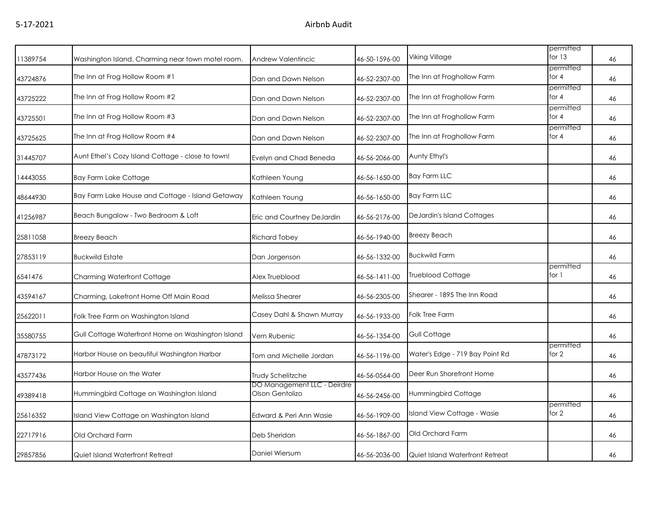| 11389754 | Washington Island. Charming near town motel room. | Andrew Valentincic                             | 46-50-1596-00 | Viking Village                  | permitted<br>for $13$ | 46 |
|----------|---------------------------------------------------|------------------------------------------------|---------------|---------------------------------|-----------------------|----|
| 43724876 | The Inn at Frog Hollow Room #1                    | Dan and Dawn Nelson                            | 46-52-2307-00 | The Inn at Froghollow Farm      | permitted<br>for $4$  | 46 |
| 43725222 | The Inn at Frog Hollow Room #2                    | Dan and Dawn Nelson                            | 46-52-2307-00 | The Inn at Froghollow Farm      | permitted<br>for $4$  | 46 |
| 43725501 | The Inn at Frog Hollow Room #3                    | Dan and Dawn Nelson                            | 46-52-2307-00 | The Inn at Froghollow Farm      | permitted<br>for $4$  | 46 |
| 43725625 | The Inn at Frog Hollow Room #4                    | Dan and Dawn Nelson                            | 46-52-2307-00 | The Inn at Froghollow Farm      | permitted<br>for $4$  | 46 |
| 31445707 | Aunt Ethel's Cozy Island Cottage - close to town! | Evelyn and Chad Beneda                         | 46-56-2066-00 | Aunty Ethyl's                   |                       | 46 |
| 14443055 | Bay Farm Lake Cottage                             | Kathleen Young                                 | 46-56-1650-00 | <b>Bay Farm LLC</b>             |                       | 46 |
| 48644930 | Bay Farm Lake House and Cottage - Island Getaway  | Kathleen Young                                 | 46-56-1650-00 | <b>Bay Farm LLC</b>             |                       | 46 |
| 41256987 | Beach Bungalow - Two Bedroom & Loft               | Eric and Courtney DeJardin                     | 46-56-2176-00 | DeJardin's Island Cottages      |                       | 46 |
| 25811058 | <b>Breezy Beach</b>                               | Richard Tobey                                  | 46-56-1940-00 | <b>Breezy Beach</b>             |                       | 46 |
| 27853119 | <b>Buckwild Estate</b>                            | Dan Jorgenson                                  | 46-56-1332-00 | <b>Buckwild Farm</b>            |                       | 46 |
| 6541476  | Charming Waterfront Cottage                       | Alex Trueblood                                 | 46-56-1411-00 | <b>Trueblood Cottage</b>        | permitted<br>for 1    | 46 |
| 43594167 | Charming, Lakefront Home Off Main Road            | Melissa Shearer                                | 46-56-2305-00 | Shearer - 1895 The Inn Road     |                       | 46 |
| 25622011 | Folk Tree Farm on Washington Island               | Casey Dahl & Shawn Murray                      | 46-56-1933-00 | Folk Tree Farm                  |                       | 46 |
| 35580755 | Gull Cottage Waterfront Home on Washington Island | Vern Rubenic                                   | 46-56-1354-00 | Gull Cottage                    |                       | 46 |
| 47873172 | Harbor House on beautiful Washington Harbor       | Tom and Michelle Jordan                        | 46-56-1196-00 | Water's Edge - 719 Bay Point Rd | permitted<br>for 2    | 46 |
| 43577436 | Harbor House on the Water                         | Trudy Schelitzche                              | 46-56-0564-00 | Deer Run Shorefront Home        |                       | 46 |
| 49389418 | Hummingbird Cottage on Washington Island          | DO Management LLC - Deirdre<br>Olson Gentolizo | 46-56-2456-00 | Hummingbird Cottage             |                       | 46 |
| 25616352 | Island View Cottage on Washington Island          | Edward & Peri Ann Wasie                        | 46-56-1909-00 | Island View Cottage - Wasie     | permitted<br>for 2    | 46 |
| 22717916 | Old Orchard Farm                                  | Deb Sheridan                                   | 46-56-1867-00 | Old Orchard Farm                |                       | 46 |
| 29857856 | Quiet Island Waterfront Retreat                   | Daniel Wiersum                                 | 46-56-2036-00 | Quiet Island Waterfront Retreat |                       | 46 |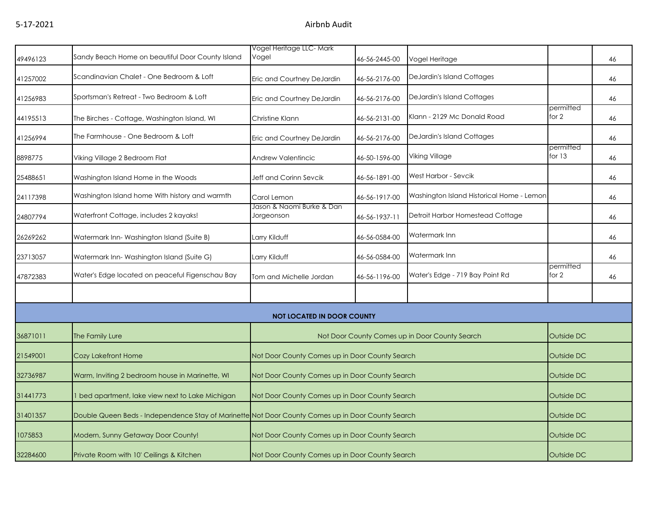| 49496123 | Sandy Beach Home on beautiful Door County Island                                                  | Vogel Heritage LLC-Mark<br>Vogel               | 46-56-2445-00 | Vogel Heritage                            |                       | 46 |
|----------|---------------------------------------------------------------------------------------------------|------------------------------------------------|---------------|-------------------------------------------|-----------------------|----|
| 41257002 | Scandinavian Chalet - One Bedroom & Loft                                                          | Eric and Courtney DeJardin                     | 46-56-2176-00 | DeJardin's Island Cottages                |                       | 46 |
| 41256983 | Sportsman's Retreat - Two Bedroom & Loft                                                          | Eric and Courtney DeJardin                     | 46-56-2176-00 | DeJardin's Island Cottages                |                       | 46 |
| 44195513 | The Birches - Cottage, Washington Island, WI                                                      | Christine Klann                                | 46-56-2131-00 | Klann - 2129 Mc Donald Road               | permitted<br>for 2    | 46 |
| 41256994 | The Farmhouse - One Bedroom & Loft                                                                | Eric and Courtney DeJardin                     | 46-56-2176-00 | DeJardin's Island Cottages                |                       | 46 |
| 8898775  | Viking Village 2 Bedroom Flat                                                                     | <b>Andrew Valentincic</b>                      | 46-50-1596-00 | Viking Village                            | permitted<br>for $13$ | 46 |
| 25488651 | Washington Island Home in the Woods                                                               | Jeff and Corinn Sevcik                         | 46-56-1891-00 | West Harbor - Sevcik                      |                       | 46 |
| 24117398 | Washington Island home With history and warmth                                                    | Carol Lemon                                    | 46-56-1917-00 | Washington Island Historical Home - Lemon |                       | 46 |
| 24807794 | Waterfront Cottage, includes 2 kayaks!                                                            | Jason & Naomi Burke & Dan<br>Jorgeonson        | 46-56-1937-11 | Detroit Harbor Homestead Cottage          |                       | 46 |
| 26269262 | Watermark Inn-Washington Island (Suite B)                                                         | Larry Kilduff                                  | 46-56-0584-00 | Watermark Inn                             |                       | 46 |
| 23713057 | Watermark Inn-Washington Island (Suite G)                                                         | Larry Kilduff                                  | 46-56-0584-00 | Watermark Inn                             |                       | 46 |
| 47872383 | Water's Edge located on peaceful Figenschau Bay                                                   | Tom and Michelle Jordan                        | 46-56-1196-00 | Water's Edge - 719 Bay Point Rd           | permitted<br>for 2    | 46 |
|          |                                                                                                   |                                                |               |                                           |                       |    |
|          |                                                                                                   | <b>NOT LOCATED IN DOOR COUNTY</b>              |               |                                           |                       |    |
| 36871011 | The Family Lure                                                                                   | Not Door County Comes up in Door County Search |               | Outside DC                                |                       |    |
| 21549001 | Cozy Lakefront Home                                                                               | Not Door County Comes up in Door County Search |               |                                           | Outside DC            |    |
| 32736987 | Warm, Inviting 2 bedroom house in Marinette, WI                                                   | Not Door County Comes up in Door County Search |               |                                           | Outside DC            |    |
| 31441773 | I bed apartment, lake view next to Lake Michigan                                                  | Not Door County Comes up in Door County Search |               |                                           | Outside DC            |    |
| 31401357 | Double Queen Beds - Independence Stay of Marinette Not Door County Comes up in Door County Search |                                                |               |                                           | Outside DC            |    |
| 1075853  | Modern, Sunny Getaway Door County!                                                                | Not Door County Comes up in Door County Search |               |                                           | Outside DC            |    |
| 32284600 | Private Room with 10' Ceilings & Kitchen                                                          | Not Door County Comes up in Door County Search |               |                                           | Outside DC            |    |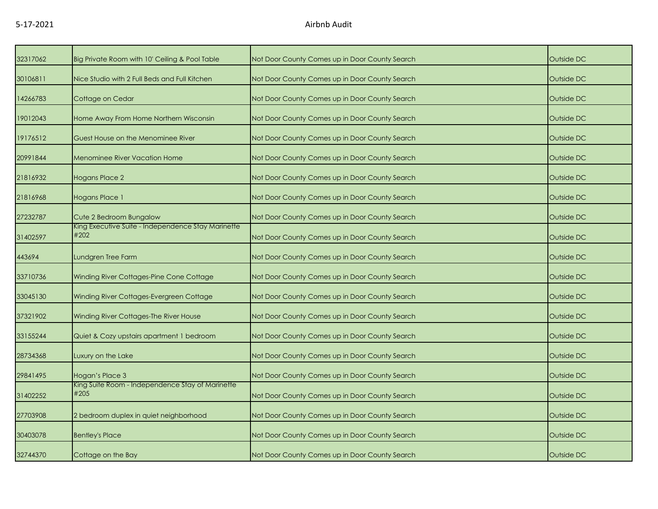| 32317062 | Big Private Room with 10' Ceiling & Pool Table             | Not Door County Comes up in Door County Search | Outside DC |
|----------|------------------------------------------------------------|------------------------------------------------|------------|
| 30106811 | Nice Studio with 2 Full Beds and Full Kitchen              | Not Door County Comes up in Door County Search | Outside DC |
| 14266783 | Cottage on Cedar                                           | Not Door County Comes up in Door County Search | Outside DC |
| 19012043 | Home Away From Home Northern Wisconsin                     | Not Door County Comes up in Door County Search | Outside DC |
| 19176512 | Guest House on the Menominee River                         | Not Door County Comes up in Door County Search | Outside DC |
| 20991844 | <b>Menominee River Vacation Home</b>                       | Not Door County Comes up in Door County Search | Outside DC |
| 21816932 | Hogans Place 2                                             | Not Door County Comes up in Door County Search | Outside DC |
| 21816968 | Hogans Place 1                                             | Not Door County Comes up in Door County Search | Outside DC |
| 27232787 | Cute 2 Bedroom Bungalow                                    | Not Door County Comes up in Door County Search | Outside DC |
| 31402597 | King Executive Suite - Independence Stay Marinette<br>#202 | Not Door County Comes up in Door County Search | Outside DC |
| 443694   | Lundgren Tree Farm                                         | Not Door County Comes up in Door County Search | Outside DC |
| 33710736 | Winding River Cottages-Pine Cone Cottage                   | Not Door County Comes up in Door County Search | Outside DC |
| 33045130 | Winding River Cottages-Evergreen Cottage                   | Not Door County Comes up in Door County Search | Outside DC |
| 37321902 | Winding River Cottages-The River House                     | Not Door County Comes up in Door County Search | Outside DC |
| 33155244 | Quiet & Cozy upstairs apartment 1 bedroom                  | Not Door County Comes up in Door County Search | Outside DC |
| 28734368 | Luxury on the Lake                                         | Not Door County Comes up in Door County Search | Outside DC |
| 29841495 | Hogan's Place 3                                            | Not Door County Comes up in Door County Search | Outside DC |
| 31402252 | King Suite Room - Independence Stay of Marinette<br>#205   | Not Door County Comes up in Door County Search | Outside DC |
| 27703908 | 2 bedroom duplex in quiet neighborhood                     | Not Door County Comes up in Door County Search | Outside DC |
| 30403078 | <b>Bentley's Place</b>                                     | Not Door County Comes up in Door County Search | Outside DC |
| 32744370 | Cottage on the Bay                                         | Not Door County Comes up in Door County Search | Outside DC |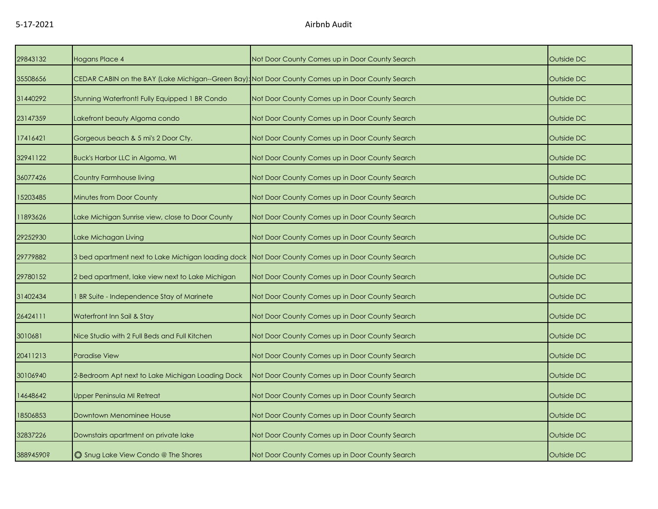| 29843132  | Hogans Place 4                                                                                    | Not Door County Comes up in Door County Search | Outside DC |
|-----------|---------------------------------------------------------------------------------------------------|------------------------------------------------|------------|
| 35508656  | CEDAR CABIN on the BAY (Lake Michigan--Green Bay): Not Door County Comes up in Door County Search |                                                | Outside DC |
| 31440292  | Stunning Waterfront! Fully Equipped 1 BR Condo                                                    | Not Door County Comes up in Door County Search | Outside DC |
| 23147359  | Lakefront beauty Algoma condo                                                                     | Not Door County Comes up in Door County Search | Outside DC |
| 17416421  | Gorgeous beach & 5 mi's 2 Door Cty.                                                               | Not Door County Comes up in Door County Search | Outside DC |
| 32941122  | Buck's Harbor LLC in Algoma, WI                                                                   | Not Door County Comes up in Door County Search | Outside DC |
| 36077426  | Country Farmhouse living                                                                          | Not Door County Comes up in Door County Search | Outside DC |
| 15203485  | <b>Minutes from Door County</b>                                                                   | Not Door County Comes up in Door County Search | Outside DC |
| 11893626  | Lake Michigan Sunrise view, close to Door County                                                  | Not Door County Comes up in Door County Search | Outside DC |
| 29252930  | Lake Michagan Living                                                                              | Not Door County Comes up in Door County Search | Outside DC |
| 29779882  | 3 bed apartment next to Lake Michigan loading dock                                                | Not Door County Comes up in Door County Search | Outside DC |
| 29780152  | 2 bed apartment, lake view next to Lake Michigan                                                  | Not Door County Comes up in Door County Search | Outside DC |
| 31402434  | BR Suite - Independence Stay of Marinete                                                          | Not Door County Comes up in Door County Search | Outside DC |
| 26424111  | Waterfront Inn Sail & Stay                                                                        | Not Door County Comes up in Door County Search | Outside DC |
| 3010681   | Nice Studio with 2 Full Beds and Full Kitchen                                                     | Not Door County Comes up in Door County Search | Outside DC |
| 20411213  | Paradise View                                                                                     | Not Door County Comes up in Door County Search | Outside DC |
| 30106940  | 2-Bedroom Apt next to Lake Michigan Loading Dock                                                  | Not Door County Comes up in Door County Search | Outside DC |
| 14648642  | Upper Peninsula MI Retreat                                                                        | Not Door County Comes up in Door County Search | Outside DC |
| 18506853  | <b>Downtown Menominee House</b>                                                                   | Not Door County Comes up in Door County Search | Outside DC |
| 32837226  | Downstairs apartment on private lake                                                              | Not Door County Comes up in Door County Search | Outside DC |
| 38894590? | Shug Lake View Condo @ The Shores                                                                 | Not Door County Comes up in Door County Search | Outside DC |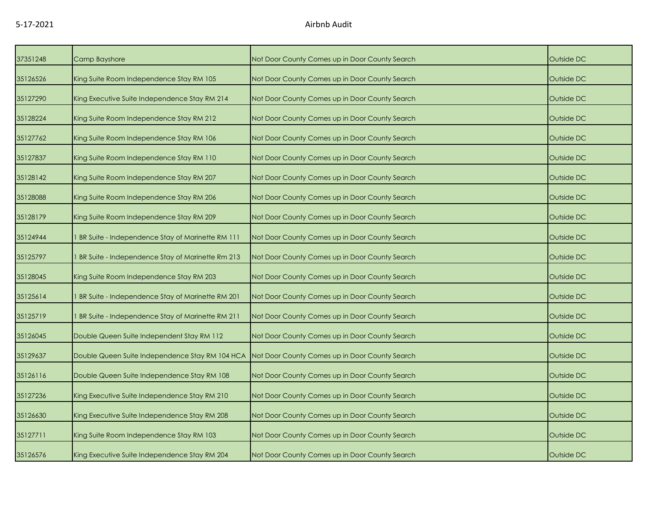| 37351248 | Camp Bayshore                                    | Not Door County Comes up in Door County Search | Outside DC |
|----------|--------------------------------------------------|------------------------------------------------|------------|
| 35126526 | King Suite Room Independence Stay RM 105         | Not Door County Comes up in Door County Search | Outside DC |
| 35127290 | King Executive Suite Independence Stay RM 214    | Not Door County Comes up in Door County Search | Outside DC |
| 35128224 | King Suite Room Independence Stay RM 212         | Not Door County Comes up in Door County Search | Outside DC |
| 35127762 | King Suite Room Independence Stay RM 106         | Not Door County Comes up in Door County Search | Outside DC |
| 35127837 | King Suite Room Independence Stay RM 110         | Not Door County Comes up in Door County Search | Outside DC |
| 35128142 | King Suite Room Independence Stay RM 207         | Not Door County Comes up in Door County Search | Outside DC |
| 35128088 | King Suite Room Independence Stay RM 206         | Not Door County Comes up in Door County Search | Outside DC |
| 35128179 | King Suite Room Independence Stay RM 209         | Not Door County Comes up in Door County Search | Outside DC |
| 35124944 | BR Suite - Independence Stay of Marinette RM 111 | Not Door County Comes up in Door County Search | Outside DC |
| 35125797 | BR Suite - Independence Stay of Marinette Rm 213 | Not Door County Comes up in Door County Search | Outside DC |
| 35128045 | King Suite Room Independence Stay RM 203         | Not Door County Comes up in Door County Search | Outside DC |
| 35125614 | BR Suite - Independence Stay of Marinette RM 201 | Not Door County Comes up in Door County Search | Outside DC |
| 35125719 | BR Suite - Independence Stay of Marinette RM 211 | Not Door County Comes up in Door County Search | Outside DC |
| 35126045 | Double Queen Suite Independent Stay RM 112       | Not Door County Comes up in Door County Search | Outside DC |
| 35129637 | Double Queen Suite Independence Stay RM 104 HCA  | Not Door County Comes up in Door County Search | Outside DC |
| 35126116 | Double Queen Suite Independence Stay RM 108      | Not Door County Comes up in Door County Search | Outside DC |
| 35127236 | King Executive Suite Independence Stay RM 210    | Not Door County Comes up in Door County Search | Outside DC |
| 35126630 | King Executive Suite Independence Stay RM 208    | Not Door County Comes up in Door County Search | Outside DC |
| 35127711 | King Suite Room Independence Stay RM 103         | Not Door County Comes up in Door County Search | Outside DC |
| 35126576 | King Executive Suite Independence Stay RM 204    | Not Door County Comes up in Door County Search | Outside DC |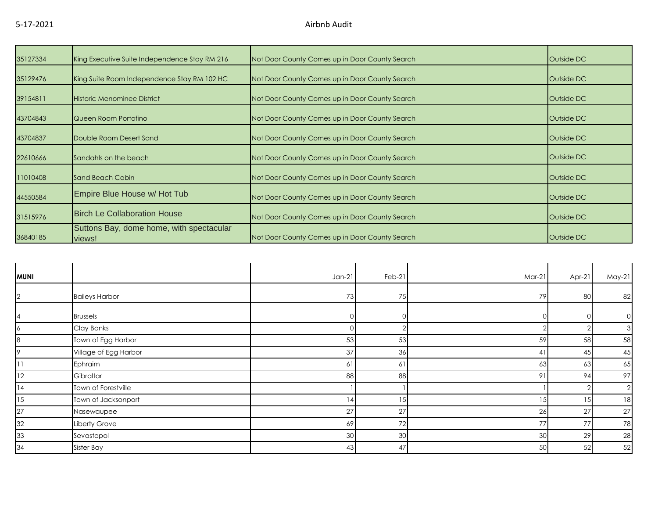| 35127334 | King Executive Suite Independence Stay RM 216      | Not Door County Comes up in Door County Search | Outside DC |
|----------|----------------------------------------------------|------------------------------------------------|------------|
| 35129476 | King Suite Room Independence Stay RM 102 HC        | Not Door County Comes up in Door County Search | Outside DC |
| 39154811 | Historic Menominee District                        | Not Door County Comes up in Door County Search | Outside DC |
| 43704843 | Queen Room Portofino                               | Not Door County Comes up in Door County Search | Outside DC |
| 43704837 | Double Room Desert Sand                            | Not Door County Comes up in Door County Search | Outside DC |
| 22610666 | Sandahls on the beach                              | Not Door County Comes up in Door County Search | Outside DC |
| 11010408 | Sand Beach Cabin                                   | Not Door County Comes up in Door County Search | Outside DC |
| 44550584 | Empire Blue House w/ Hot Tub                       | Not Door County Comes up in Door County Search | Outside DC |
| 31515976 | <b>Birch Le Collaboration House</b>                | Not Door County Comes up in Door County Search | Outside DC |
| 36840185 | Suttons Bay, dome home, with spectacular<br>views! | Not Door County Comes up in Door County Search | Outside DC |

| <b>MUNI</b>    |                       | $Jan-21$ | Feb-21 | Mar-21         | Apr-21 | $May-21$       |
|----------------|-----------------------|----------|--------|----------------|--------|----------------|
| $\overline{2}$ | <b>Baileys Harbor</b> | 73       | 75     | 79             | 80     | 82             |
| 14             | <b>Brussels</b>       |          |        |                |        | $\circ$        |
| 16             | Clay Banks            |          |        |                |        | 3              |
| 8              | Town of Egg Harbor    | 53       | 53     | 59             | 58     | 58             |
| 19             | Village of Egg Harbor | 37       | 36     | $\overline{4}$ | 45     | 45             |
| 11             | Ephraim               | 61       | 61     | 63             | 63     | 65             |
| 12             | Gibraltar             | 88       | 88     | 9              | 94     | 97             |
| 14             | Town of Forestville   |          |        |                |        | $\overline{2}$ |
| 15             | Town of Jacksonport   | 14       | 15     | 15             |        | 18             |
| 27             | Nasewaupee            | 27       | 27     | 26             | 27     | 27             |
| 32             | Liberty Grove         | 69       | 72     | 77             | 77     | 78             |
| 33             | Sevastopol            | 30       | 30     | 30             | 29     | 28             |
| 34             | Sister Bay            | 43       | 47     | 50             | 52     | 52             |